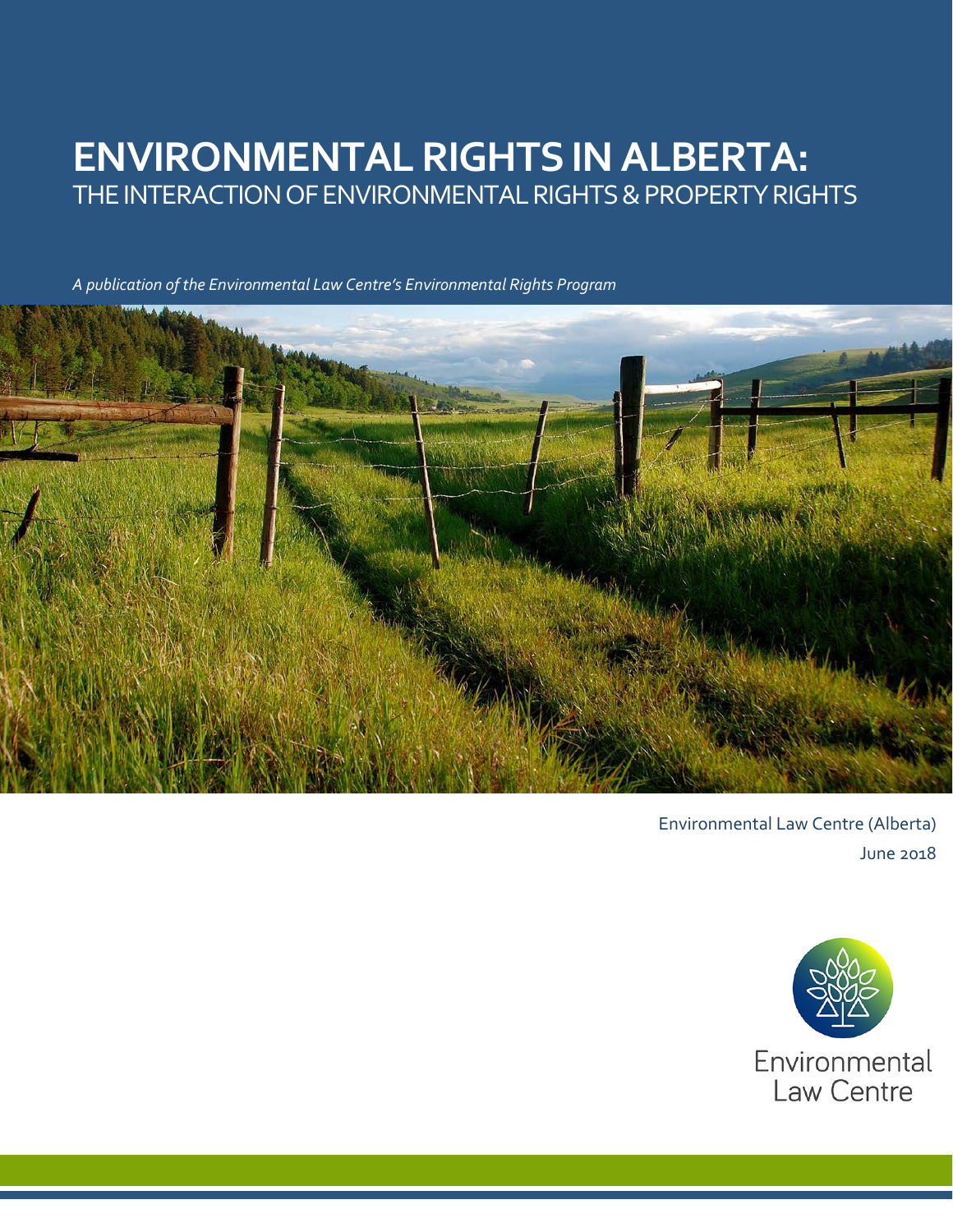# **ENVIRONMENTALRIGHTS IN ALBERTA:** THE INTERACTION OF ENVIRONMENTAL RIGHTS & PROPERTY RIGHTS

*A publication of the Environmental Law Centre's Environmental Rights Program*



Environmental Law Centre (Alberta) June 2018

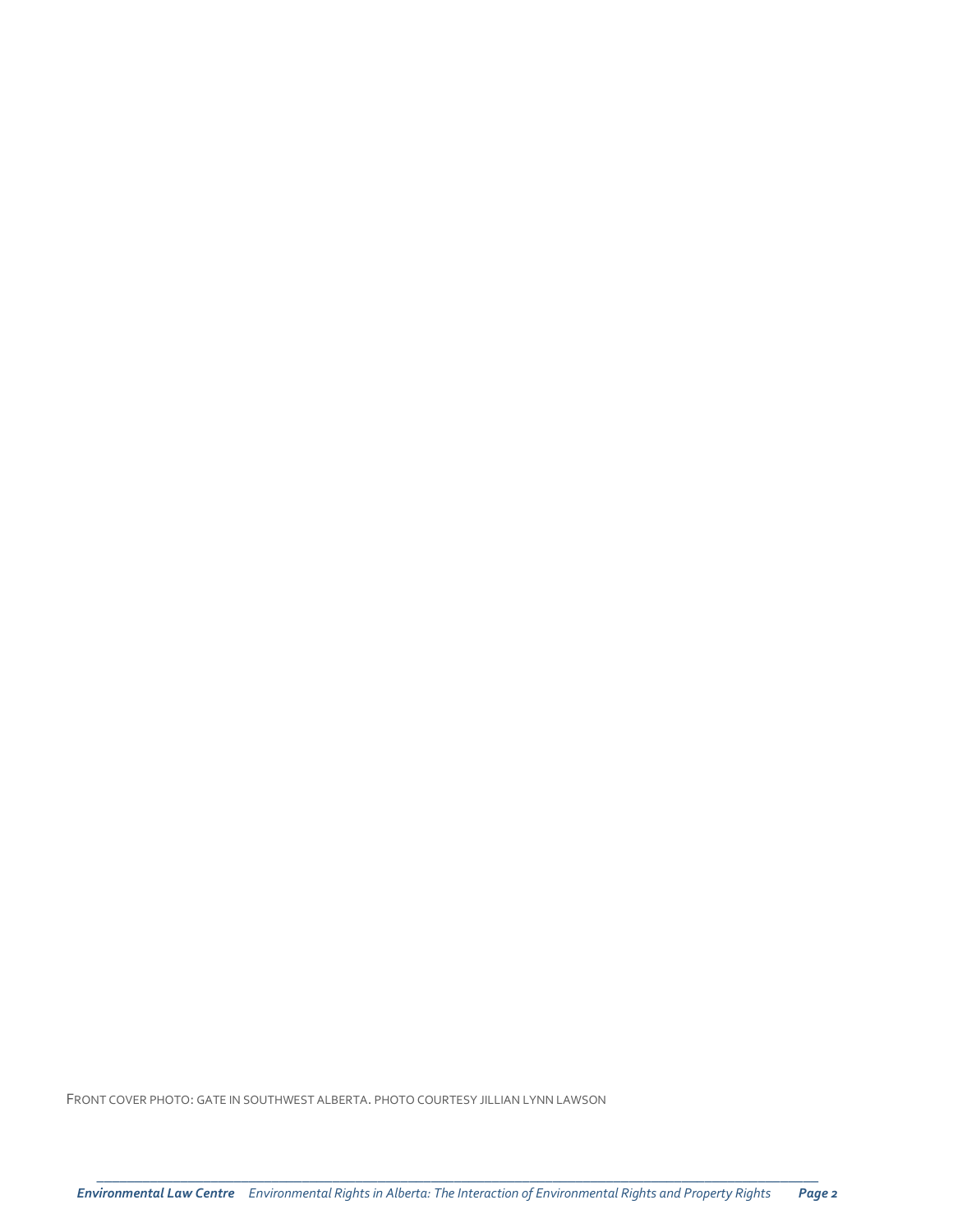FRONT COVER PHOTO: GATE IN SOUTHWEST ALBERTA. PHOTO COURTESY JILLIAN LYNN LAWSON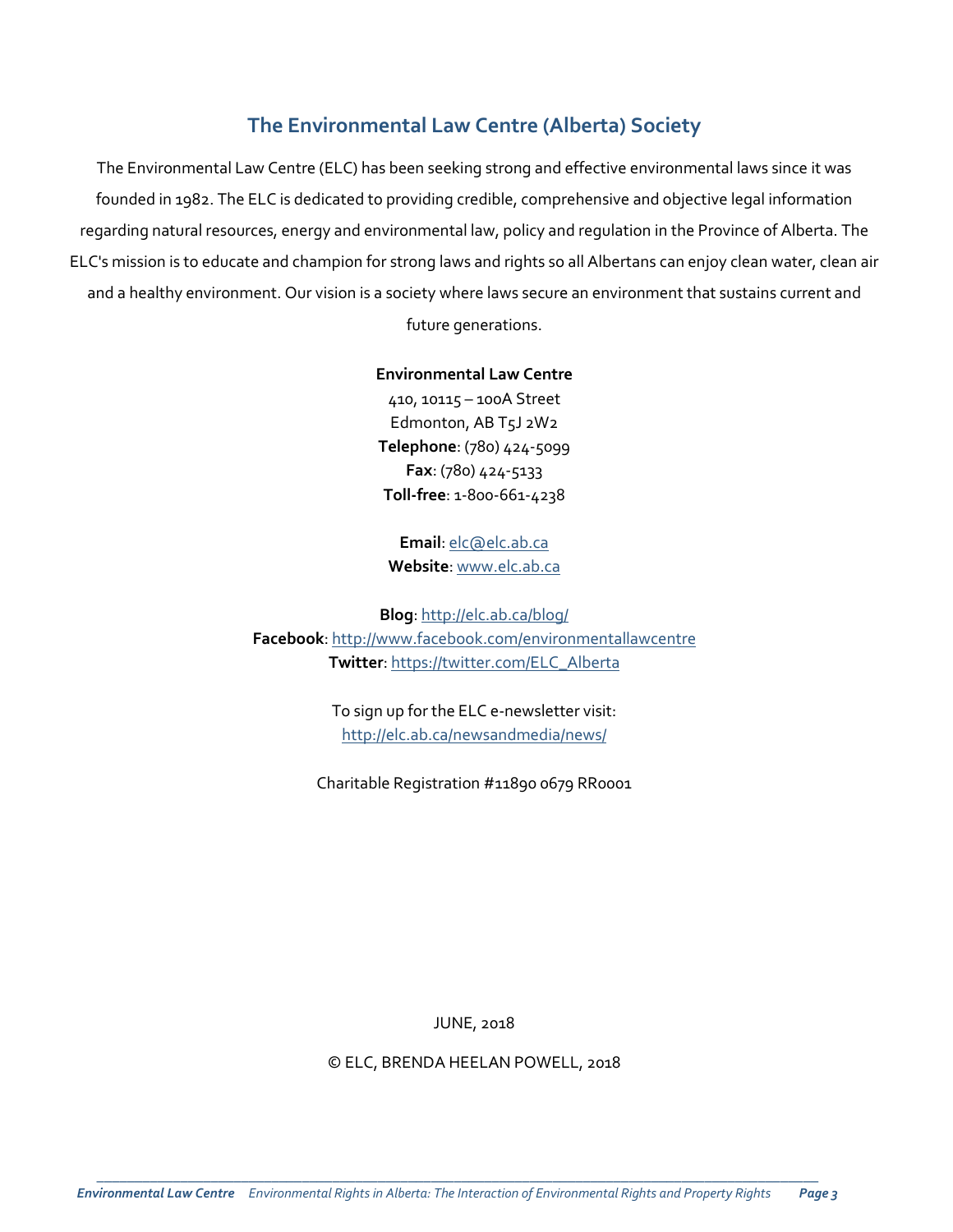## **The Environmental Law Centre (Alberta) Society**

The Environmental Law Centre (ELC) has been seeking strong and effective environmental laws since it was founded in 1982. The ELC is dedicated to providing credible, comprehensive and objective legal information regarding natural resources, energy and environmental law, policy and regulation in the Province of Alberta. The ELC's mission is to educate and champion for strong laws and rights so all Albertans can enjoy clean water, clean air and a healthy environment. Our vision is a society where laws secure an environment that sustains current and

future generations.

**Environmental Law Centre**

410, 10115 – 100A Street Edmonton, AB T5J 2W2 **Telephone**: (780) 424-5099 **Fax**: (780) 424-5133 **Toll-free**: 1-800-661-4238

**Email**: [elc@elc.ab.ca](mailto:elc@elc.ab.ca) **Website**[: www.elc.ab.ca](http://www.elc.ab.ca/)

**Blog**:<http://elc.ab.ca/blog/> **Facebook**: <http://www.facebook.com/environmentallawcentre> **Twitter**: [https://twitter.com/ELC\\_Alberta](https://twitter.com/ELC_Alberta)

> To sign up for the ELC e-newsletter visit: <http://elc.ab.ca/newsandmedia/news/>

Charitable Registration #11890 0679 RR0001

JUNE, 2018

© ELC, BRENDA HEELAN POWELL, 2018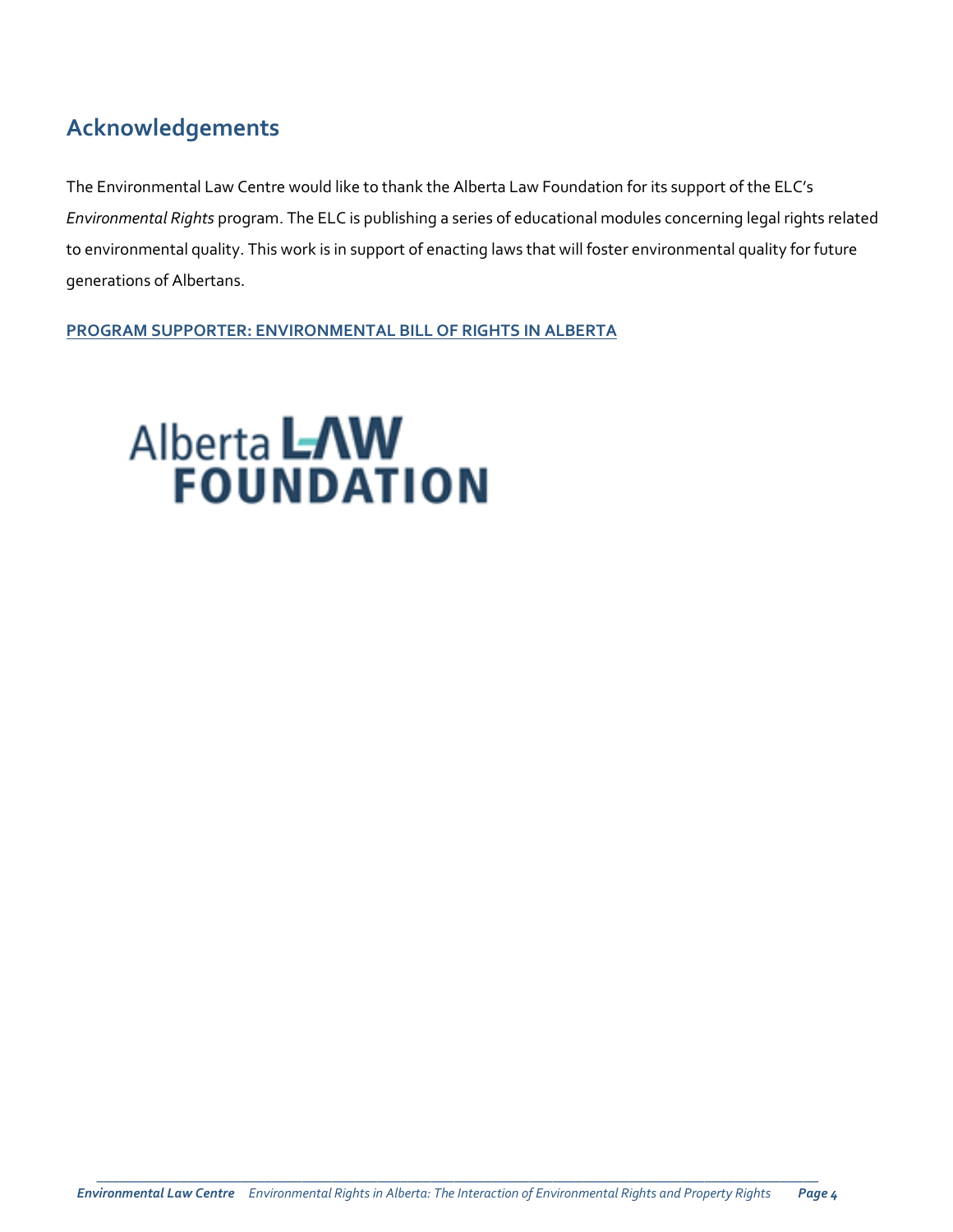# **Acknowledgements**

The Environmental Law Centre would like to thank the Alberta Law Foundation for its support of the ELC's *Environmental Rights* program. The ELC is publishing a series of educational modules concerning legal rights related to environmental quality. This work is in support of enacting laws that will foster environmental quality for future generations of Albertans.

**PROGRAM SUPPORTER: ENVIRONMENTAL BILL OF RIGHTS IN ALBERTA**

# **Alberta LAW**<br>**FOUNDATION**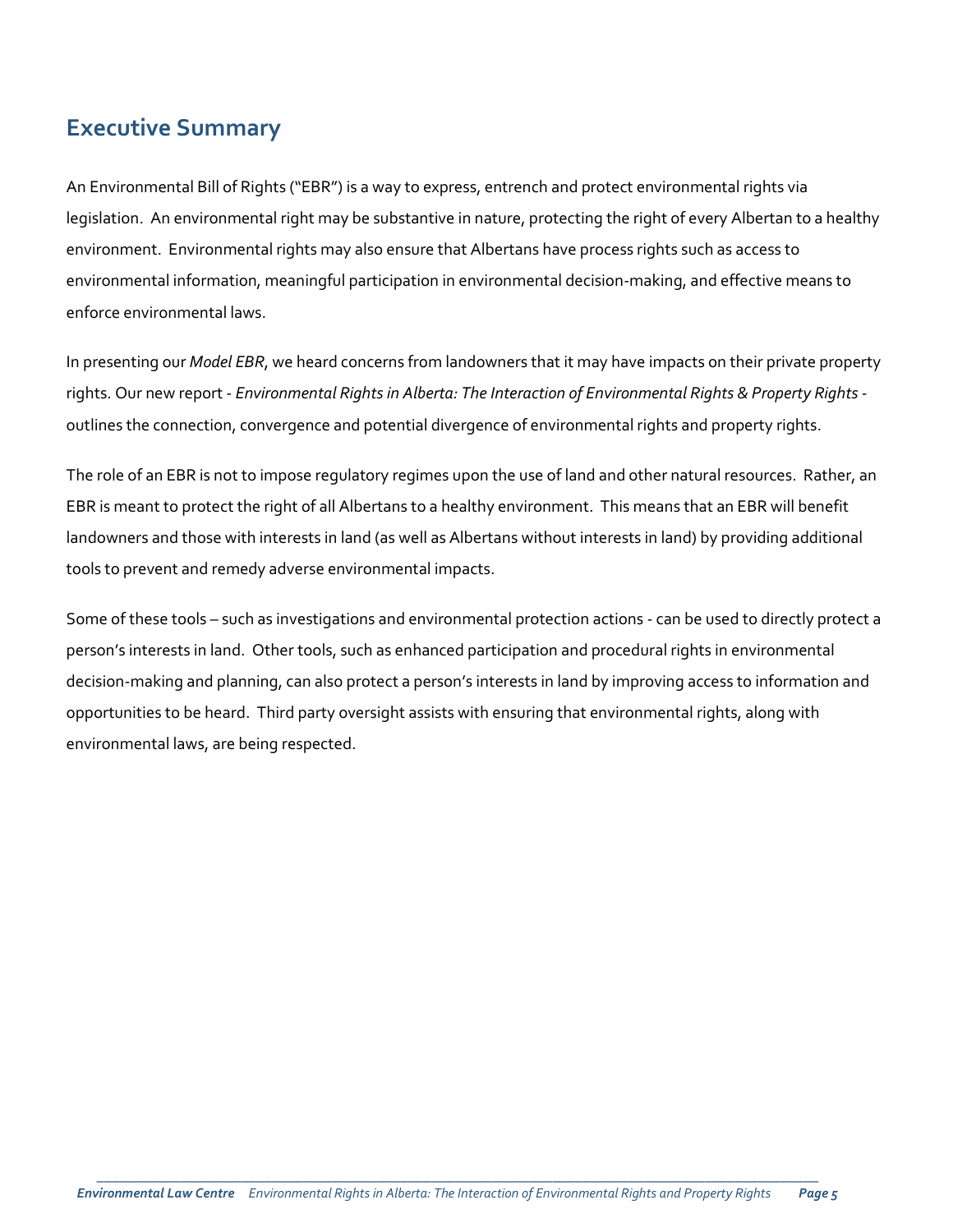## **Executive Summary**

An Environmental Bill of Rights ("EBR") is a way to express, entrench and protect environmental rights via legislation. An environmental right may be substantive in nature, protecting the right of every Albertan to a healthy environment. Environmental rights may also ensure that Albertans have process rights such as access to environmental information, meaningful participation in environmental decision-making, and effective means to enforce environmental laws.

In presenting our *Model EBR*, we heard concerns from landowners that it may have impacts on their private property rights. Our new report - *Environmental Rights in Alberta: The Interaction of Environmental Rights & Property Rights* outlines the connection, convergence and potential divergence of environmental rights and property rights.

The role of an EBR is not to impose regulatory regimes upon the use of land and other natural resources. Rather, an EBR is meant to protect the right of all Albertans to a healthy environment. This means that an EBR will benefit landowners and those with interests in land (as well as Albertans without interests in land) by providing additional tools to prevent and remedy adverse environmental impacts.

Some of these tools – such as investigations and environmental protection actions - can be used to directly protect a person's interests in land. Other tools, such as enhanced participation and procedural rights in environmental decision-making and planning, can also protect a person's interests in land by improving access to information and opportunities to be heard. Third party oversight assists with ensuring that environmental rights, along with environmental laws, are being respected.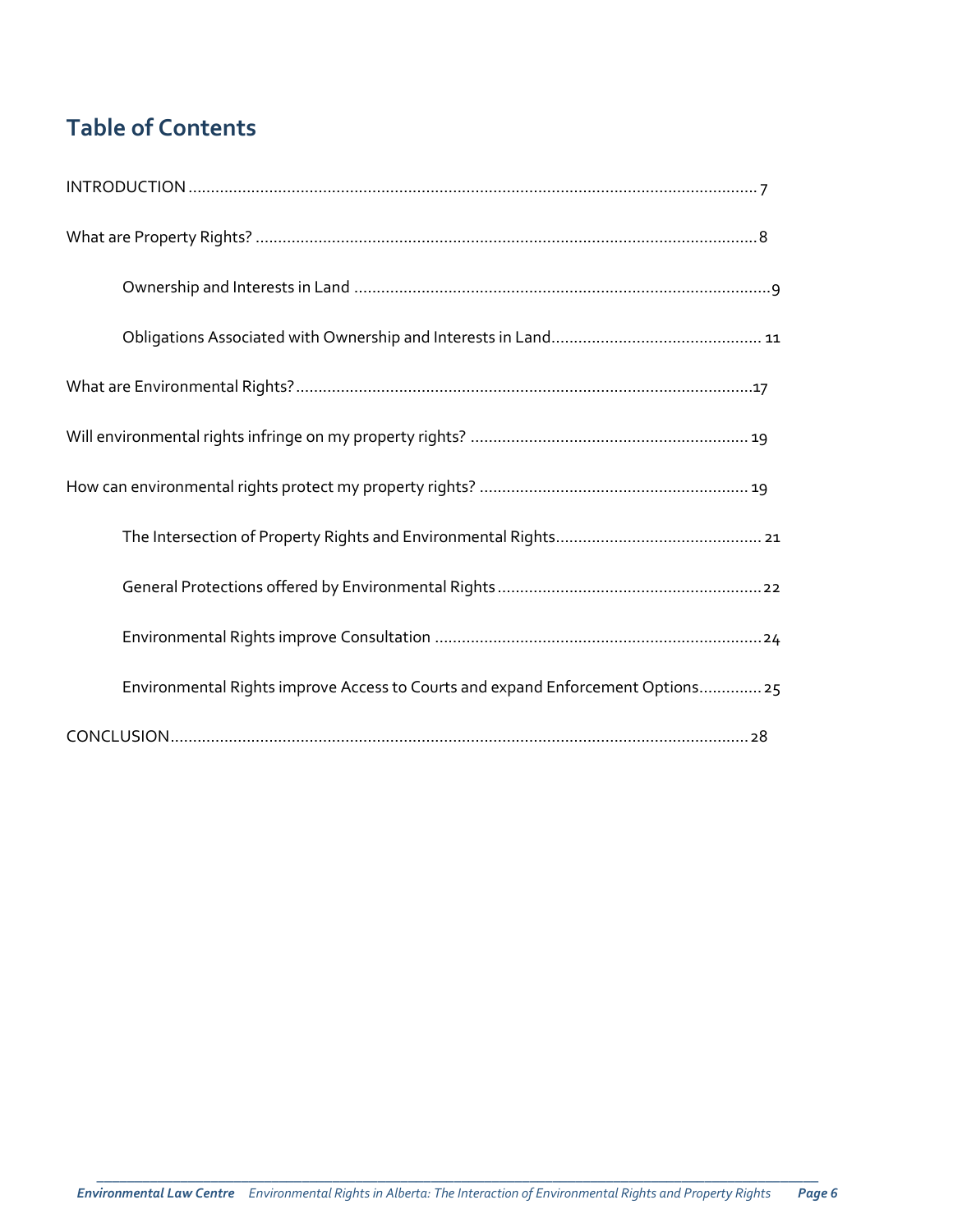# **Table of Contents**

| Environmental Rights improve Access to Courts and expand Enforcement Options 25 |
|---------------------------------------------------------------------------------|
|                                                                                 |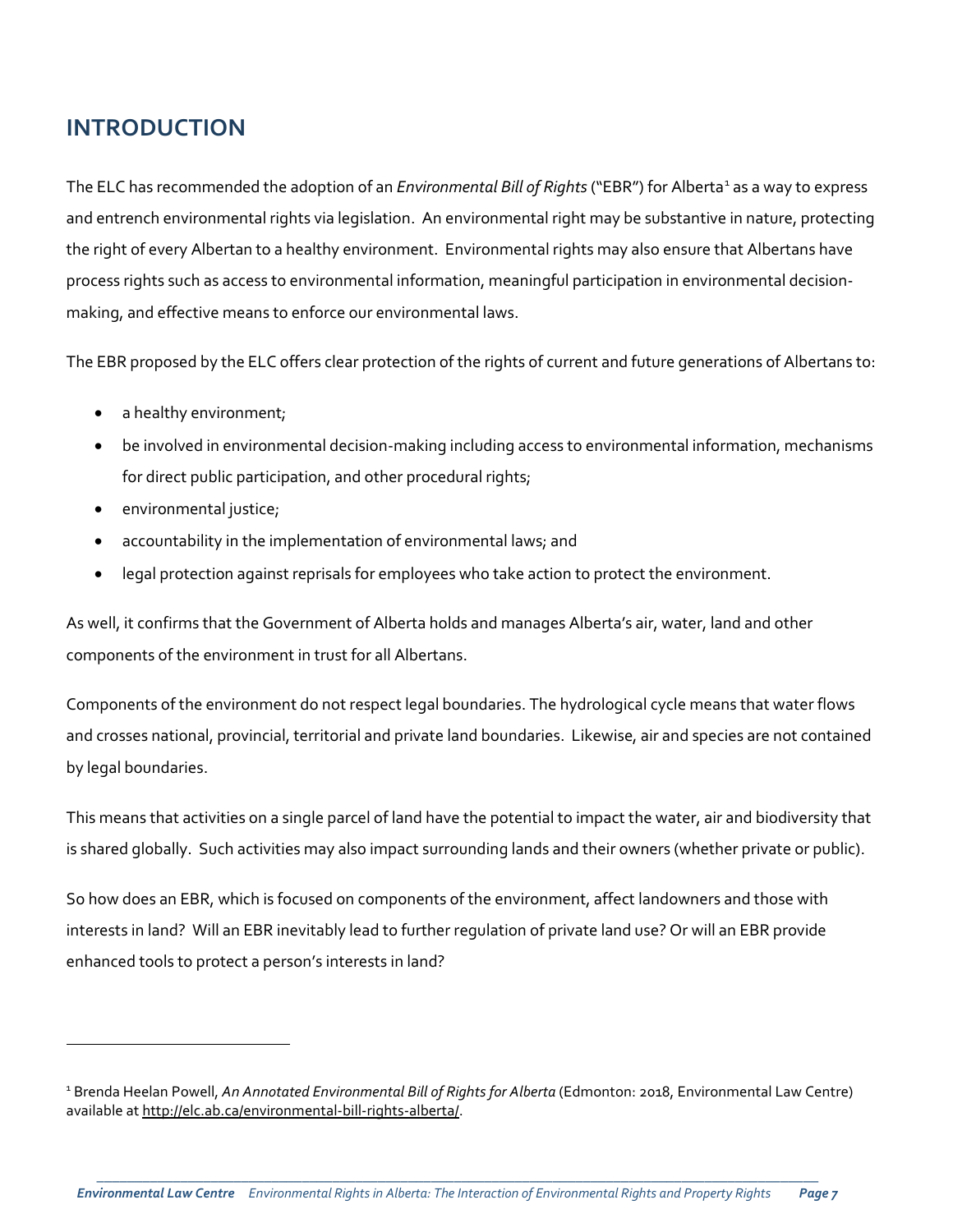## **INTRODUCTION**

The ELC has recommended the adoption of an *Environmental Bill of Rights* ("EBR") for Alberta<sup>[1](#page-6-0)</sup> as a way to express and entrench environmental rights via legislation. An environmental right may be substantive in nature, protecting the right of every Albertan to a healthy environment. Environmental rights may also ensure that Albertans have process rights such as access to environmental information, meaningful participation in environmental decisionmaking, and effective means to enforce our environmental laws.

The EBR proposed by the ELC offers clear protection of the rights of current and future generations of Albertans to:

- a healthy environment;
- be involved in environmental decision-making including access to environmental information, mechanisms for direct public participation, and other procedural rights;
- environmental justice;

l

- accountability in the implementation of environmental laws; and
- legal protection against reprisals for employees who take action to protect the environment.

As well, it confirms that the Government of Alberta holds and manages Alberta's air, water, land and other components of the environment in trust for all Albertans.

Components of the environment do not respect legal boundaries. The hydrological cycle means that water flows and crosses national, provincial, territorial and private land boundaries. Likewise, air and species are not contained by legal boundaries.

This means that activities on a single parcel of land have the potential to impact the water, air and biodiversity that is shared globally. Such activities may also impact surrounding lands and their owners (whether private or public).

So how does an EBR, which is focused on components of the environment, affect landowners and those with interests in land? Will an EBR inevitably lead to further regulation of private land use? Or will an EBR provide enhanced tools to protect a person's interests in land?

<span id="page-6-0"></span><sup>&</sup>lt;sup>1</sup> Brenda Heelan Powell, *An Annotated Environmental Bill of Rights for Alberta* (Edmonton: 2018, Environmental Law Centre) available a[t http://elc.ab.ca/environmental-bill-rights-alberta/.](http://elc.ab.ca/environmental-bill-rights-alberta/)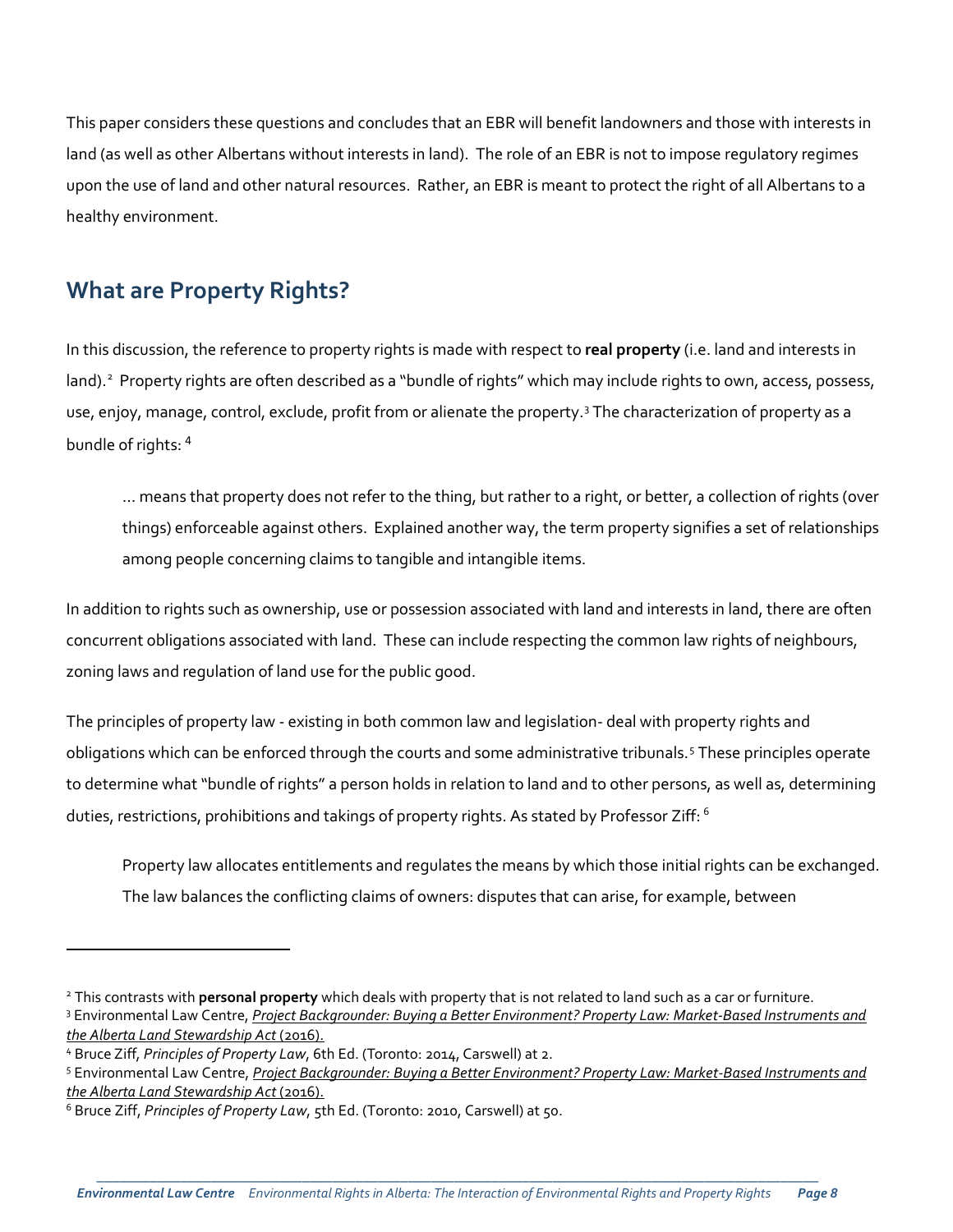This paper considers these questions and concludes that an EBR will benefit landowners and those with interests in land (as well as other Albertans without interests in land). The role of an EBR is not to impose regulatory regimes upon the use of land and other natural resources. Rather, an EBR is meant to protect the right of all Albertans to a healthy environment.

## **What are Property Rights?**

In this discussion, the reference to property rights is made with respect to **real property** (i.e. land and interests in land).<sup>[2](#page-7-0)</sup> Property rights are often described as a "bundle of rights" which may include rights to own, access, possess, use, enjoy, manage, control, exclude, profit from or alienate the property.<sup>[3](#page-7-1)</sup> The characterization of property as a bundle of rights: [4](#page-7-2)

… means that property does not refer to the thing, but rather to a right, or better, a collection of rights (over things) enforceable against others. Explained another way, the term property signifies a set of relationships among people concerning claims to tangible and intangible items.

In addition to rights such as ownership, use or possession associated with land and interests in land, there are often concurrent obligations associated with land. These can include respecting the common law rights of neighbours, zoning laws and regulation of land use for the public good.

The principles of property law - existing in both common law and legislation- deal with property rights and obligations which can be enforced through the courts and some administrative tribunals.[5](#page-7-3) These principles operate to determine what "bundle of rights" a person holds in relation to land and to other persons, as well as, determining duties, restrictions, prohibitions and takings of property rights. As stated by Professor Ziff: <sup>[6](#page-7-4)</sup>

Property law allocates entitlements and regulates the means by which those initial rights can be exchanged. The law balances the conflicting claims of owners: disputes that can arise, for example, between

<span id="page-7-2"></span><sup>4</sup> Bruce Ziff, *Principles of Property Law*, 6th Ed. (Toronto: 2014, Carswell) at 2.

l

\_\_\_\_\_\_\_\_\_\_\_\_\_\_\_\_\_\_\_\_\_\_\_\_\_\_\_\_\_\_\_\_\_\_\_\_\_\_\_\_\_\_\_\_\_\_\_\_\_\_\_\_\_\_\_\_\_\_\_\_\_\_\_\_\_\_\_\_\_\_\_\_\_\_\_\_\_\_\_\_\_\_\_\_\_\_\_\_\_\_\_\_\_\_\_ *Environmental Law Centre Environmental Rights in Alberta: The Interaction of Environmental Rights and Property Rights Page 8*

<span id="page-7-1"></span><span id="page-7-0"></span><sup>2</sup> This contrasts with **personal property** which deals with property that is not related to land such as a car or furniture. <sup>3</sup> Environmental Law Centre, *[Project Backgrounder: Buying a Better Environment? Property Law: Market-Based Instruments and](http://elc.ab.ca/?smd_process_download=1&download_id=18886)  [the Alberta Land Stewardship Act](http://elc.ab.ca/?smd_process_download=1&download_id=18886)* (2016).

<span id="page-7-3"></span><sup>5</sup> Environmental Law Centre, *[Project Backgrounder: Buying a Better Environment? Property Law: Market-Based Instruments and](http://elc.ab.ca/?smd_process_download=1&download_id=18886)  [the Alberta Land Stewardship Act](http://elc.ab.ca/?smd_process_download=1&download_id=18886)* (2016).

<span id="page-7-4"></span><sup>6</sup> Bruce Ziff, *Principles of Property Law*, 5th Ed. (Toronto: 2010, Carswell) at 50.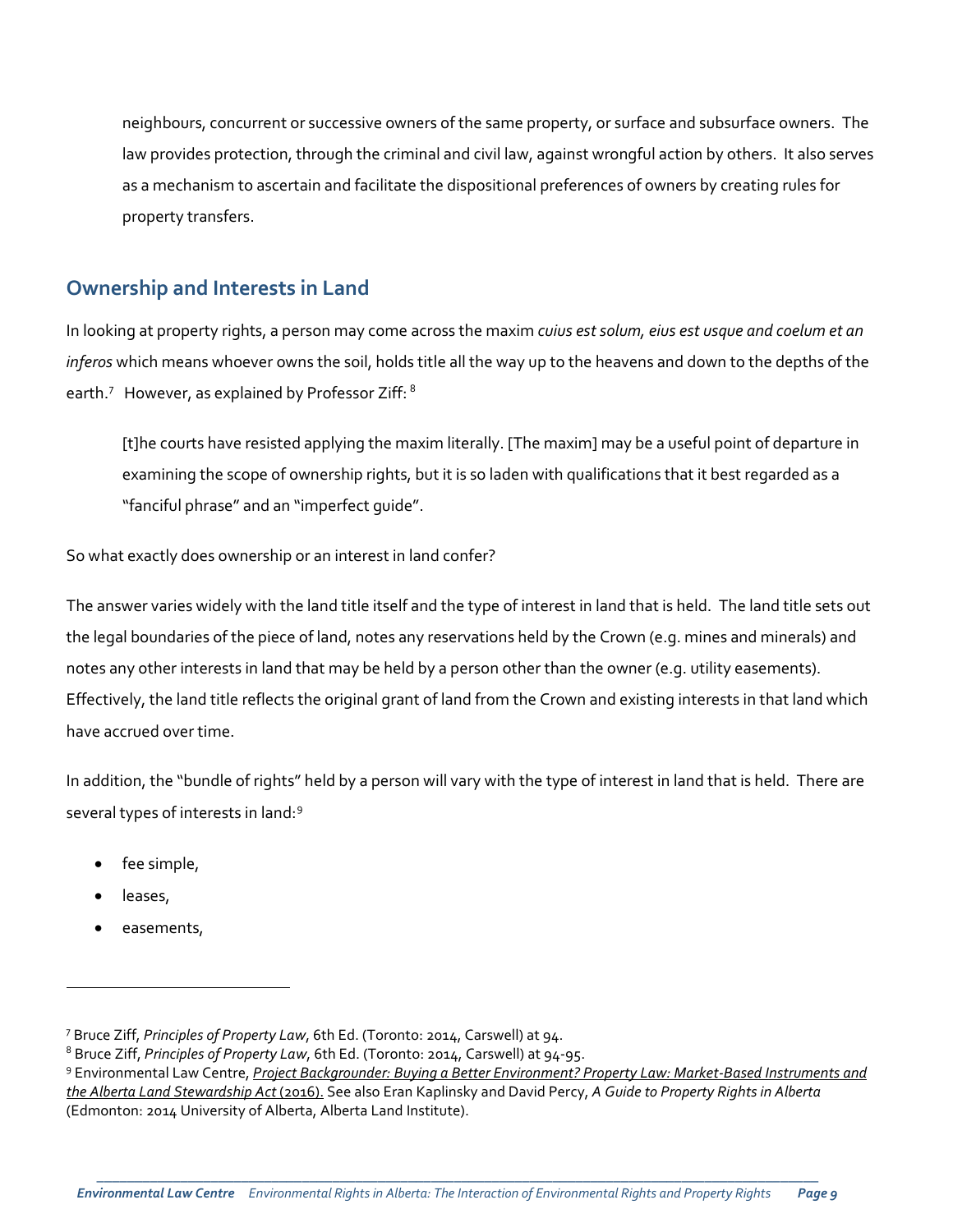neighbours, concurrent or successive owners of the same property, or surface and subsurface owners. The law provides protection, through the criminal and civil law, against wrongful action by others. It also serves as a mechanism to ascertain and facilitate the dispositional preferences of owners by creating rules for property transfers.

#### **Ownership and Interests in Land**

In looking at property rights, a person may come across the maxim *cuius est solum, eius est usque and coelum et an inferos* which means whoever owns the soil, holds title all the way up to the heavens and down to the depths of the earth.<sup>[7](#page-8-0)</sup> However, as explained by Professor Ziff:  $^8$  $^8$ 

[t]he courts have resisted applying the maxim literally. [The maxim] may be a useful point of departure in examining the scope of ownership rights, but it is so laden with qualifications that it best regarded as a "fanciful phrase" and an "imperfect guide".

So what exactly does ownership or an interest in land confer?

The answer varies widely with the land title itself and the type of interest in land that is held. The land title sets out the legal boundaries of the piece of land, notes any reservations held by the Crown (e.g. mines and minerals) and notes any other interests in land that may be held by a person other than the owner (e.g. utility easements). Effectively, the land title reflects the original grant of land from the Crown and existing interests in that land which have accrued over time.

In addition, the "bundle of rights" held by a person will vary with the type of interest in land that is held. There are several types of interests in land:[9](#page-8-2)

- fee simple,
- leases,

l

easements,

<span id="page-8-0"></span><sup>7</sup> Bruce Ziff, *Principles of Property Law*, 6th Ed. (Toronto: 2014, Carswell) at 94.

<span id="page-8-1"></span><sup>8</sup> Bruce Ziff, *Principles of Property Law*, 6th Ed. (Toronto: 2014, Carswell) at 94-95.

<span id="page-8-2"></span><sup>9</sup> Environmental Law Centre, *[Project Backgrounder: Buying a Better Environment? Property Law: Market-Based Instruments and](http://elc.ab.ca/?smd_process_download=1&download_id=18886)  [the Alberta Land Stewardship Act](http://elc.ab.ca/?smd_process_download=1&download_id=18886)* (2016). See also Eran Kaplinsky and David Percy, *A Guide to Property Rights in Alberta* (Edmonton: 2014 University of Alberta, Alberta Land Institute).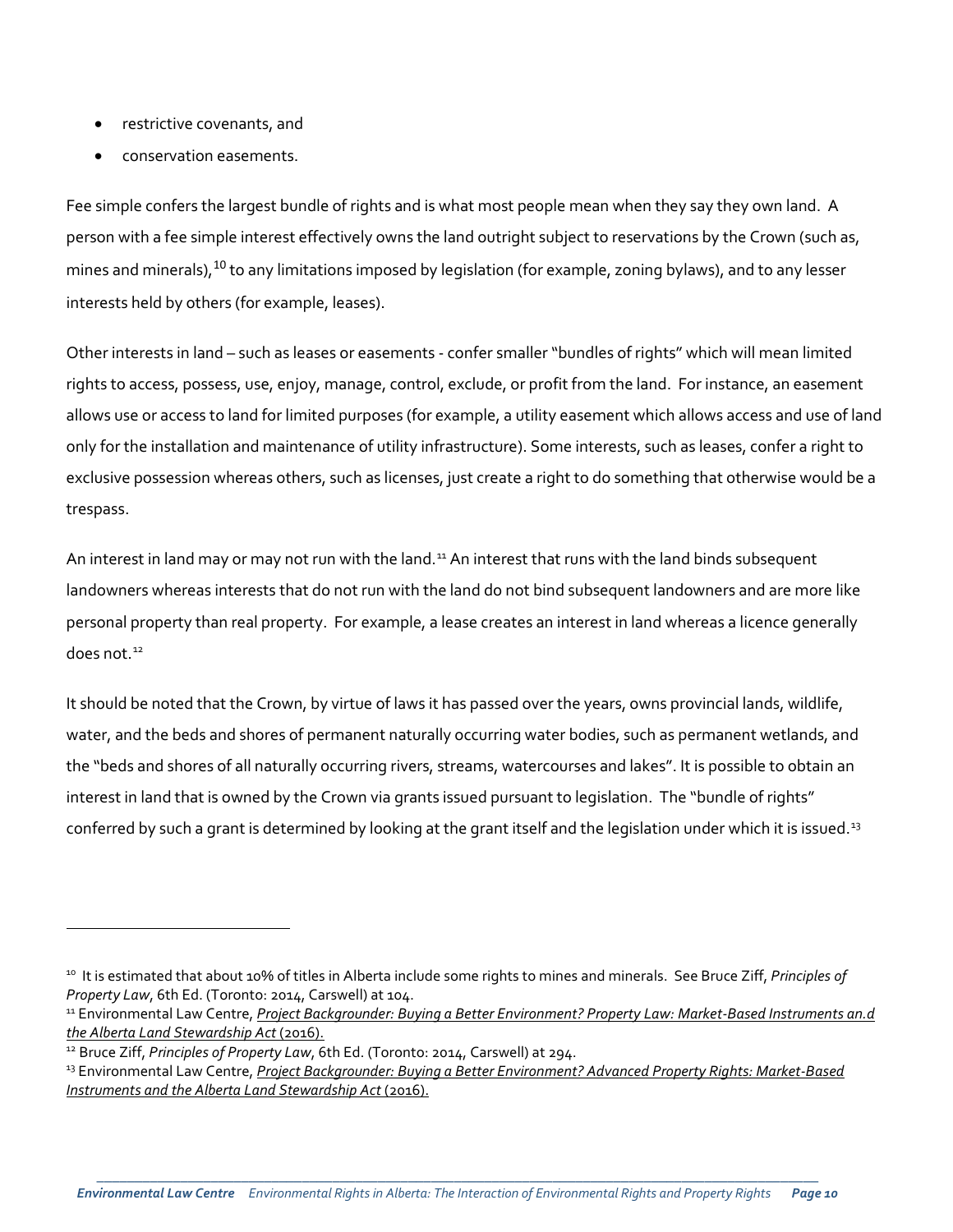- restrictive covenants, and
- conservation easements.

Fee simple confers the largest bundle of rights and is what most people mean when they say they own land. A person with a fee simple interest effectively owns the land outright subject to reservations by the Crown (such as, mines and minerals), <sup>[10](#page-9-0)</sup> to any limitations imposed by legislation (for example, zoning bylaws), and to any lesser interests held by others (for example, leases).

Other interests in land – such as leases or easements - confer smaller "bundles of rights" which will mean limited rights to access, possess, use, enjoy, manage, control, exclude, or profit from the land. For instance, an easement allows use or access to land for limited purposes (for example, a utility easement which allows access and use of land only for the installation and maintenance of utility infrastructure). Some interests, such as leases, confer a right to exclusive possession whereas others, such as licenses, just create a right to do something that otherwise would be a trespass.

An interest in land may or may not run with the land.<sup>[11](#page-9-1)</sup> An interest that runs with the land binds subsequent landowners whereas interests that do not run with the land do not bind subsequent landowners and are more like personal property than real property. For example, a lease creates an interest in land whereas a licence generally does not. $12$ 

It should be noted that the Crown, by virtue of laws it has passed over the years, owns provincial lands, wildlife, water, and the beds and shores of permanent naturally occurring water bodies, such as permanent wetlands, and the "beds and shores of all naturally occurring rivers, streams, watercourses and lakes". It is possible to obtain an interest in land that is owned by the Crown via grants issued pursuant to legislation. The "bundle of rights" conferred by such a grant is determined by looking at the grant itself and the legislation under which it is issued.<sup>[13](#page-9-3)</sup>

<span id="page-9-0"></span><sup>10</sup> It is estimated that about 10% of titles in Alberta include some rights to mines and minerals. See Bruce Ziff, *Principles of Property Law*, 6th Ed. (Toronto: 2014, Carswell) at 104.<br><sup>11</sup> Environmental Law Centre, *Project Backgrounder: Buying a Better Environment? Property Law: Market-Based Instruments an.d* 

<span id="page-9-1"></span>*[the Alberta Land Stewardship Act](http://elc.ab.ca/?smd_process_download=1&download_id=18886)* (2016).

<span id="page-9-2"></span><sup>&</sup>lt;sup>12</sup> Bruce Ziff, *Principles of Property Law*, 6th Ed. (Toronto: 2014, Carswell) at 294.

<span id="page-9-3"></span><sup>13</sup> Environmental Law Centre, *[Project Backgrounder: Buying a Better Environment? Advanced Property Rights: Market-Based](http://elc.ab.ca/?smd_process_download=1&download_id=18888)  [Instruments and the Alberta Land Stewardship Act](http://elc.ab.ca/?smd_process_download=1&download_id=18888)* (2016).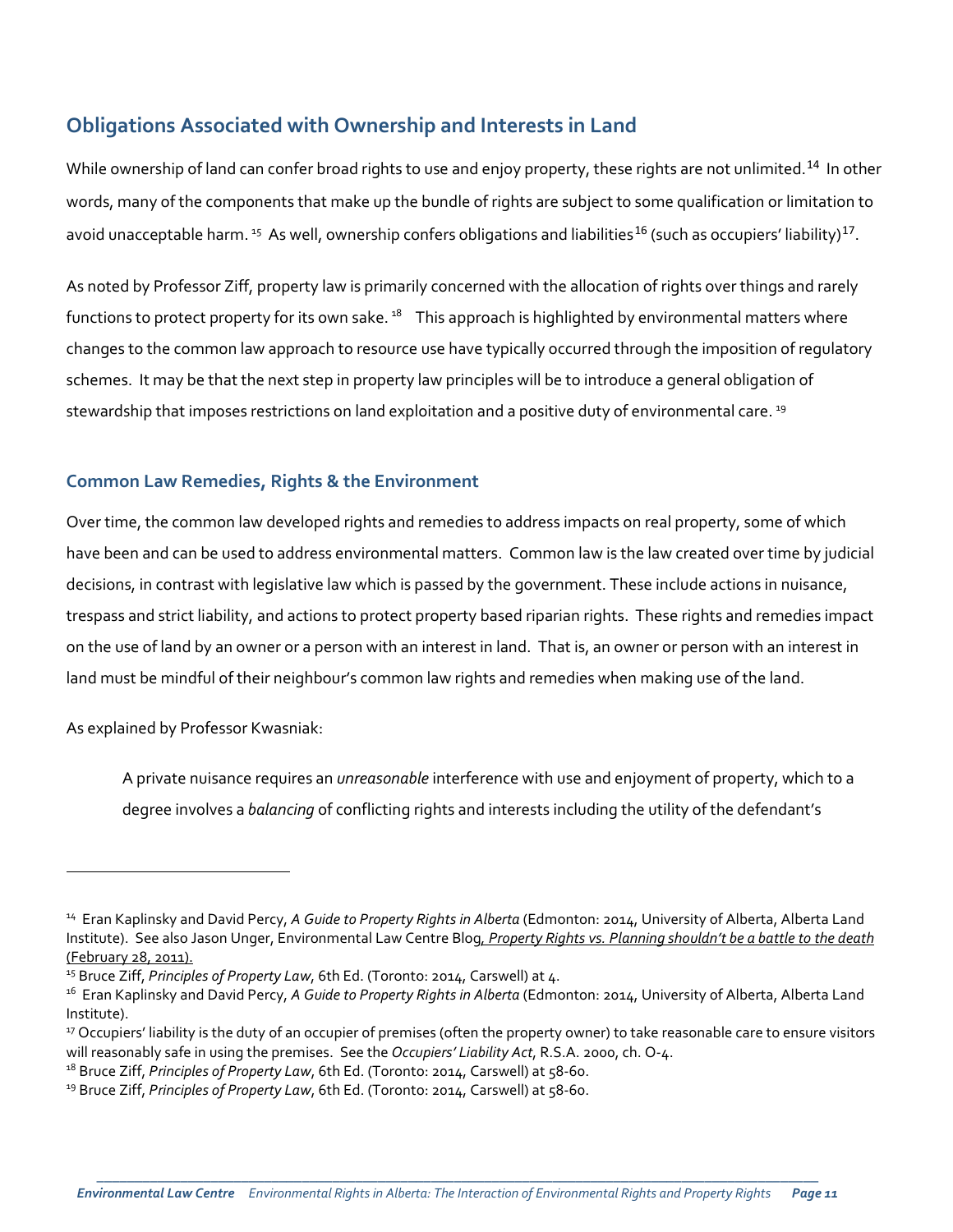## **Obligations Associated with Ownership and Interests in Land**

While ownership of land can confer broad rights to use and enjoy property, these rights are not unlimited.<sup>[14](#page-10-0)</sup> In other words, many of the components that make up the bundle of rights are subject to some qualification or limitation to avoid unacceptable harm. <sup>[15](#page-10-1)</sup> As well, ownership confers obligations and liabilities<sup>[16](#page-10-2)</sup> (such as occupiers' liability)<sup>[17](#page-10-3)</sup>.

As noted by Professor Ziff, property law is primarily concerned with the allocation of rights over things and rarely functions to protect property for its own sake.  $18$  This approach is highlighted by environmental matters where changes to the common law approach to resource use have typically occurred through the imposition of regulatory schemes. It may be that the next step in property law principles will be to introduce a general obligation of stewardship that imposes restrictions on land exploitation and a positive duty of environmental care.<sup>[19](#page-10-5)</sup>

#### **Common Law Remedies, Rights & the Environment**

Over time, the common law developed rights and remedies to address impacts on real property, some of which have been and can be used to address environmental matters. Common law is the law created over time by judicial decisions, in contrast with legislative law which is passed by the government. These include actions in nuisance, trespass and strict liability, and actions to protect property based riparian rights. These rights and remedies impact on the use of land by an owner or a person with an interest in land. That is, an owner or person with an interest in land must be mindful of their neighbour's common law rights and remedies when making use of the land.

As explained by Professor Kwasniak:

 $\overline{a}$ 

A private nuisance requires an *unreasonable* interference with use and enjoyment of property, which to a degree involves a *balancing* of conflicting rights and interests including the utility of the defendant's

<span id="page-10-0"></span><sup>14</sup> Eran Kaplinsky and David Percy, *A Guide to Property Rights in Alberta* (Edmonton: 2014, University of Alberta, Alberta Land Institute). See also Jason Unger, Environmental Law Centre Blog*, Property Rights vs. Planning shouldn't be a battle to the death* (February 28, 2011).

<span id="page-10-1"></span><sup>&</sup>lt;sup>15</sup> Bruce Ziff, *Principles of Property Law*, 6th Ed. (Toronto: 2014, Carswell) at 4.

<span id="page-10-2"></span><sup>16</sup> Eran Kaplinsky and David Percy, *A Guide to Property Rights in Alberta* (Edmonton: 2014, University of Alberta, Alberta Land Institute).

<span id="page-10-3"></span><sup>&</sup>lt;sup>17</sup> Occupiers' liability is the duty of an occupier of premises (often the property owner) to take reasonable care to ensure visitors will reasonably safe in using the premises. See the *Occupiers' Liability Act*, R.S.A. 2000, ch. O-4.

<span id="page-10-4"></span><sup>18</sup> Bruce Ziff, *Principles of Property Law*, 6th Ed. (Toronto: 2014, Carswell) at 58-60.

<span id="page-10-5"></span><sup>&</sup>lt;sup>19</sup> Bruce Ziff, *Principles of Property Law*, 6th Ed. (Toronto: 2014, Carswell) at 58-60.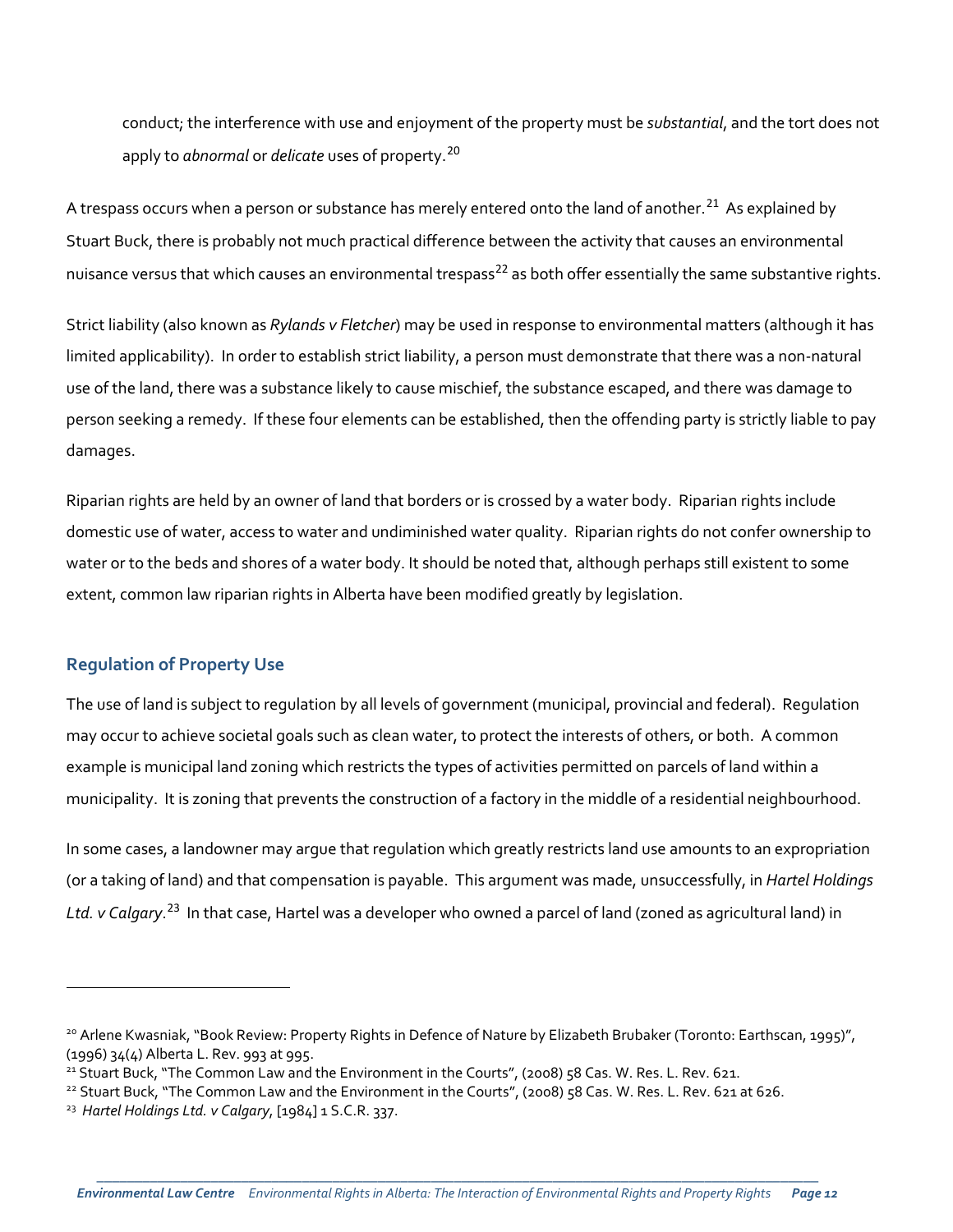conduct; the interference with use and enjoyment of the property must be *substantial*, and the tort does not apply to *abnormal* or *delicate* uses of property.[20](#page-11-0)

A trespass occurs when a person or substance has merely entered onto the land of another.<sup>[21](#page-11-1)</sup> As explained by Stuart Buck, there is probably not much practical difference between the activity that causes an environmental nuisance versus that which causes an environmental trespass<sup>[22](#page-11-2)</sup> as both offer essentially the same substantive rights.

Strict liability (also known as *Rylands v Fletcher*) may be used in response to environmental matters (although it has limited applicability). In order to establish strict liability, a person must demonstrate that there was a non-natural use of the land, there was a substance likely to cause mischief, the substance escaped, and there was damage to person seeking a remedy. If these four elements can be established, then the offending party is strictly liable to pay damages.

Riparian rights are held by an owner of land that borders or is crossed by a water body. Riparian rights include domestic use of water, access to water and undiminished water quality. Riparian rights do not confer ownership to water or to the beds and shores of a water body. It should be noted that, although perhaps still existent to some extent, common law riparian rights in Alberta have been modified greatly by legislation.

#### **Regulation of Property Use**

l

The use of land is subject to regulation by all levels of government (municipal, provincial and federal). Regulation may occur to achieve societal goals such as clean water, to protect the interests of others, or both. A common example is municipal land zoning which restricts the types of activities permitted on parcels of land within a municipality. It is zoning that prevents the construction of a factory in the middle of a residential neighbourhood.

In some cases, a landowner may argue that regulation which greatly restricts land use amounts to an expropriation (or a taking of land) and that compensation is payable. This argument was made, unsuccessfully, in *Hartel Holdings Ltd. v Calgary*. [23](#page-11-3) In that case, Hartel was a developer who owned a parcel of land (zoned as agricultural land) in

<span id="page-11-0"></span><sup>&</sup>lt;sup>20</sup> Arlene Kwasniak, "Book Review: Property Rights in Defence of Nature by Elizabeth Brubaker (Toronto: Earthscan, 1995)", (1996) 34(4) Alberta L. Rev. 993 at 995.

<span id="page-11-1"></span><sup>21</sup> Stuart Buck, "The Common Law and the Environment in the Courts", (2008) 58 Cas. W. Res. L. Rev. 621.

<span id="page-11-2"></span><sup>22</sup> Stuart Buck, "The Common Law and the Environment in the Courts", (2008) 58 Cas. W. Res. L. Rev. 621 at 626.

<span id="page-11-3"></span><sup>23</sup> *Hartel Holdings Ltd. v Calgary*, [1984] 1 S.C.R. 337.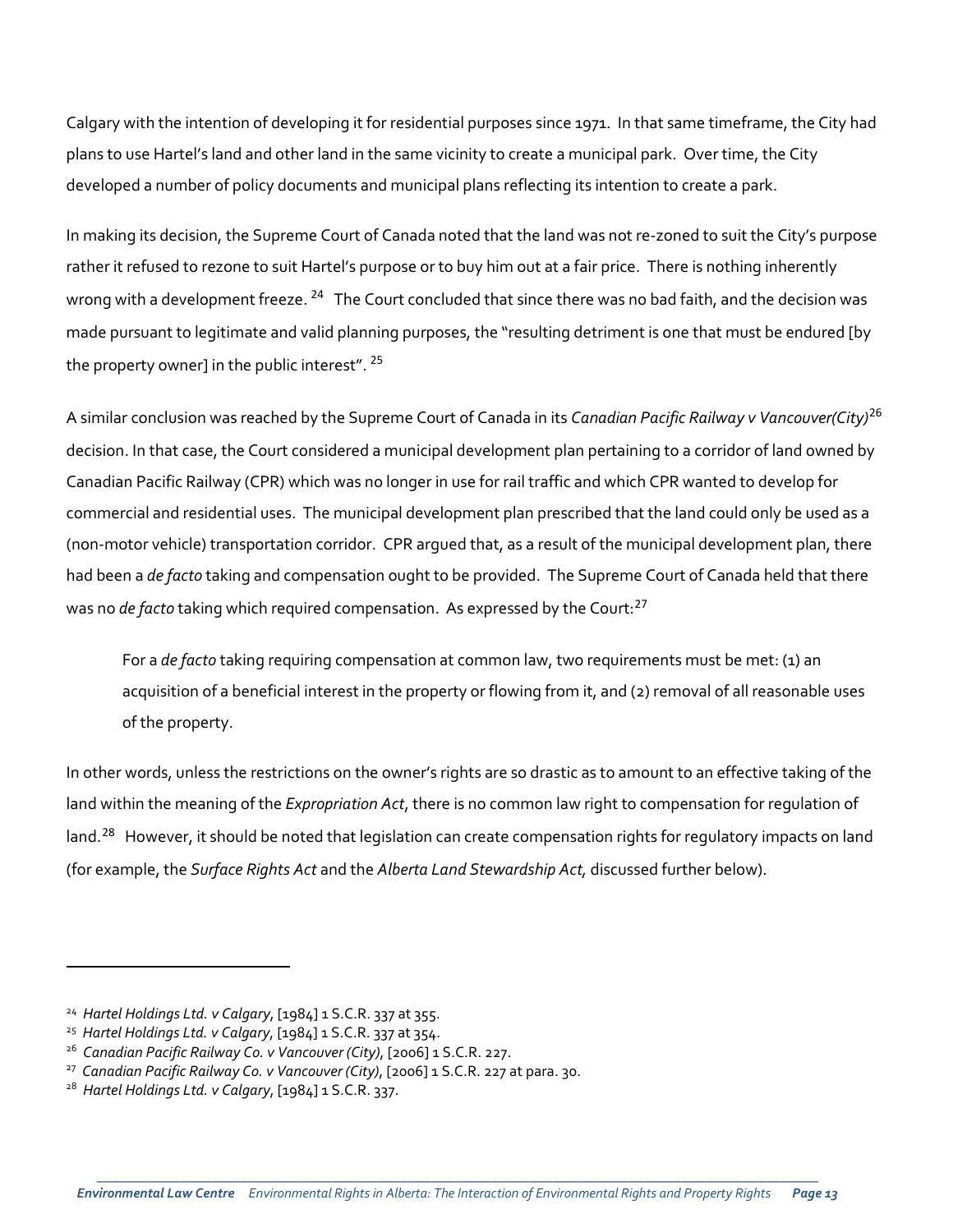Calgary with the intention of developing it for residential purposes since 1971. In that same timeframe, the City had plans to use Hartel's land and other land in the same vicinity to create a municipal park. Over time, the City developed a number of policy documents and municipal plans reflecting its intention to create a park.

In making its decision, the Supreme Court of Canada noted that the land was not re-zoned to suit the City's purpose rather it refused to rezone to suit Hartel's purpose or to buy him out at a fair price. There is nothing inherently wrong with a development freeze. <sup>[24](#page-12-0)</sup> The Court concluded that since there was no bad faith, and the decision was made pursuant to legitimate and valid planning purposes, the "resulting detriment is one that must be endured [by the property owner] in the public interest". <sup>[25](#page-12-1)</sup>

A similar conclusion was reached by the Supreme Court of Canada in its *Canadian Pacific Railway v Vancouver(City)*[26](#page-12-2) decision. In that case, the Court considered a municipal development plan pertaining to a corridor of land owned by Canadian Pacific Railway (CPR) which was no longer in use for rail traffic and which CPR wanted to develop for commercial and residential uses. The municipal development plan prescribed that the land could only be used as a (non-motor vehicle) transportation corridor. CPR argued that, as a result of the municipal development plan, there had been a *de facto* taking and compensation ought to be provided. The Supreme Court of Canada held that there was no *de facto* taking which required compensation. As expressed by the Court: [27](#page-12-3)

For a *de facto* taking requiring compensation at common law, two requirements must be met: (1) an acquisition of a beneficial interest in the property or flowing from it, and (2) removal of all reasonable uses of the property.

In other words, unless the restrictions on the owner's rights are so drastic as to amount to an effective taking of the land within the meaning of the *Expropriation Act*, there is no common law right to compensation for regulation of land.<sup>[28](#page-12-4)</sup> However, it should be noted that legislation can create compensation rights for regulatory impacts on land (for example, the *Surface Rights Act* and the *Alberta Land Stewardship Act,* discussed further below).

<span id="page-12-0"></span><sup>24</sup> *Hartel Holdings Ltd. v Calgary*, [1984] 1 S.C.R. 337 at 355.

<span id="page-12-1"></span><sup>25</sup> *Hartel Holdings Ltd. v Calgary*, [1984] 1 S.C.R. 337 at 354.

<span id="page-12-2"></span><sup>26</sup> *Canadian Pacific Railway Co. v Vancouver (City)*, [2006] 1 S.C.R. 227.

<span id="page-12-3"></span><sup>27</sup> *Canadian Pacific Railway Co. v Vancouver (City)*, [2006] 1 S.C.R. 227 at para. 30.

<span id="page-12-4"></span><sup>28</sup> *Hartel Holdings Ltd. v Calgary*, [1984] 1 S.C.R. 337.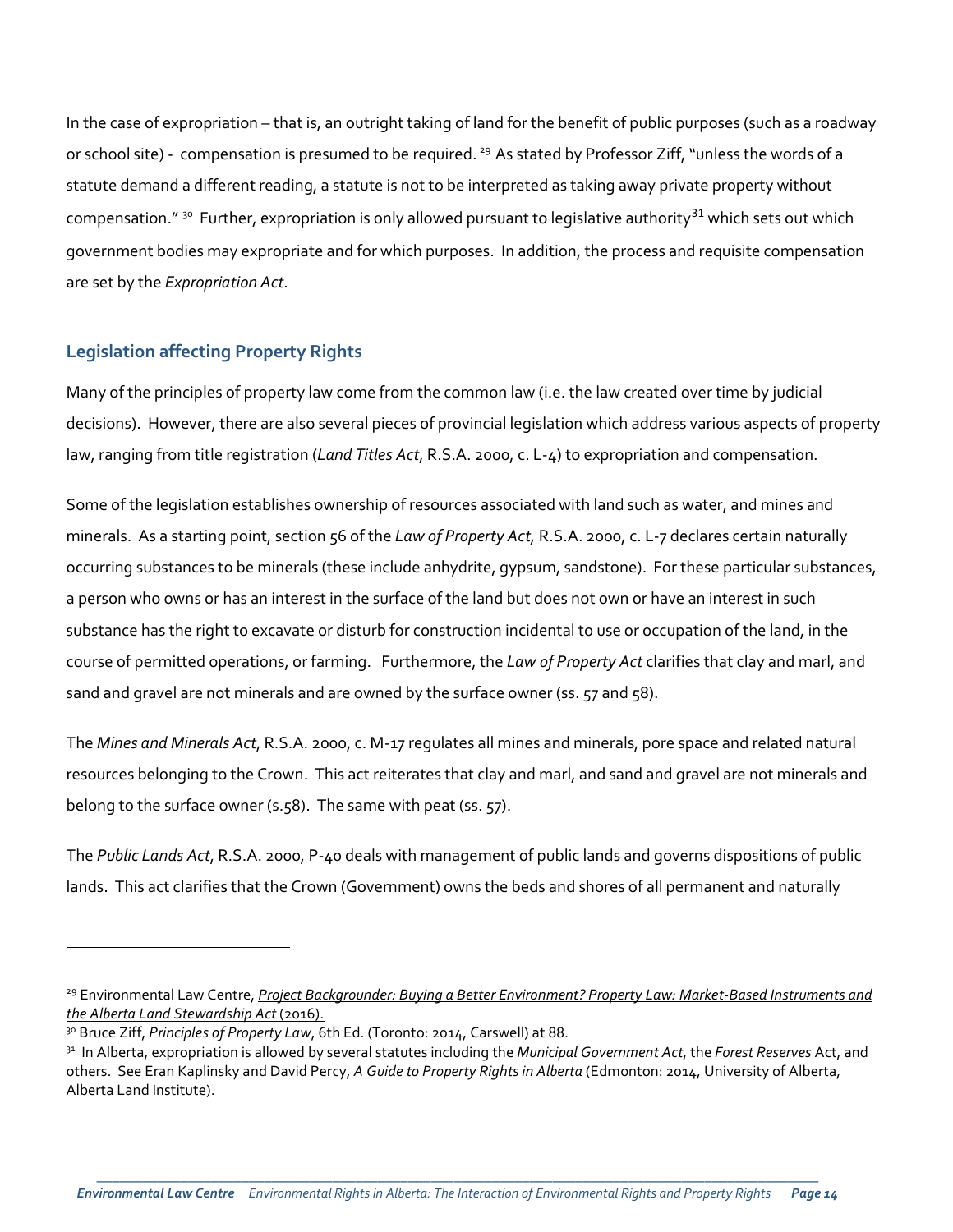In the case of expropriation – that is, an outright taking of land for the benefit of public purposes (such as a roadway or school site) - compensation is presumed to be required. <sup>29</sup> As stated by Professor Ziff, "unless the words of a statute demand a different reading, a statute is not to be interpreted as taking away private property without compensation."  $30$  Further, expropriation is only allowed pursuant to legislative authority  $31$  which sets out which government bodies may expropriate and for which purposes. In addition, the process and requisite compensation are set by the *Expropriation Act*.

#### **Legislation affecting Property Rights**

 $\overline{a}$ 

Many of the principles of property law come from the common law (i.e. the law created over time by judicial decisions). However, there are also several pieces of provincial legislation which address various aspects of property law, ranging from title registration (*Land Titles Act*, R.S.A. 2000, c. L-4) to expropriation and compensation.

Some of the legislation establishes ownership of resources associated with land such as water, and mines and minerals. As a starting point, section 56 of the *Law of Property Act,* R.S.A. 2000, c. L-7 declares certain naturally occurring substances to be minerals (these include anhydrite, gypsum, sandstone). For these particular substances, a person who owns or has an interest in the surface of the land but does not own or have an interest in such substance has the right to excavate or disturb for construction incidental to use or occupation of the land, in the course of permitted operations, or farming. Furthermore, the *Law of Property Act* clarifies that clay and marl, and sand and gravel are not minerals and are owned by the surface owner (ss. 57 and 58).

The *Mines and Minerals Act*, R.S.A. 2000, c. M-17 regulates all mines and minerals, pore space and related natural resources belonging to the Crown. This act reiterates that clay and marl, and sand and gravel are not minerals and belong to the surface owner (s.58). The same with peat (ss. 57).

The *Public Lands Act*, R.S.A. 2000, P-40 deals with management of public lands and governs dispositions of public lands. This act clarifies that the Crown (Government) owns the beds and shores of all permanent and naturally

<span id="page-13-0"></span><sup>29</sup> Environmental Law Centre, *[Project Backgrounder: Buying a Better Environment? Property Law: Market-Based Instruments and](http://elc.ab.ca/?smd_process_download=1&download_id=18886)  [the Alberta Land Stewardship Act](http://elc.ab.ca/?smd_process_download=1&download_id=18886)* (2016).

<span id="page-13-1"></span><sup>&</sup>lt;sup>30</sup> Bruce Ziff, *Principles of Property Law*, 6th Ed. (Toronto: 2014, Carswell) at 88.

<span id="page-13-2"></span><sup>31</sup> In Alberta, expropriation is allowed by several statutes including the *Municipal Government Act*, the *Forest Reserves* Act, and others. See Eran Kaplinsky and David Percy, *A Guide to Property Rights in Alberta* (Edmonton: 2014, University of Alberta, Alberta Land Institute).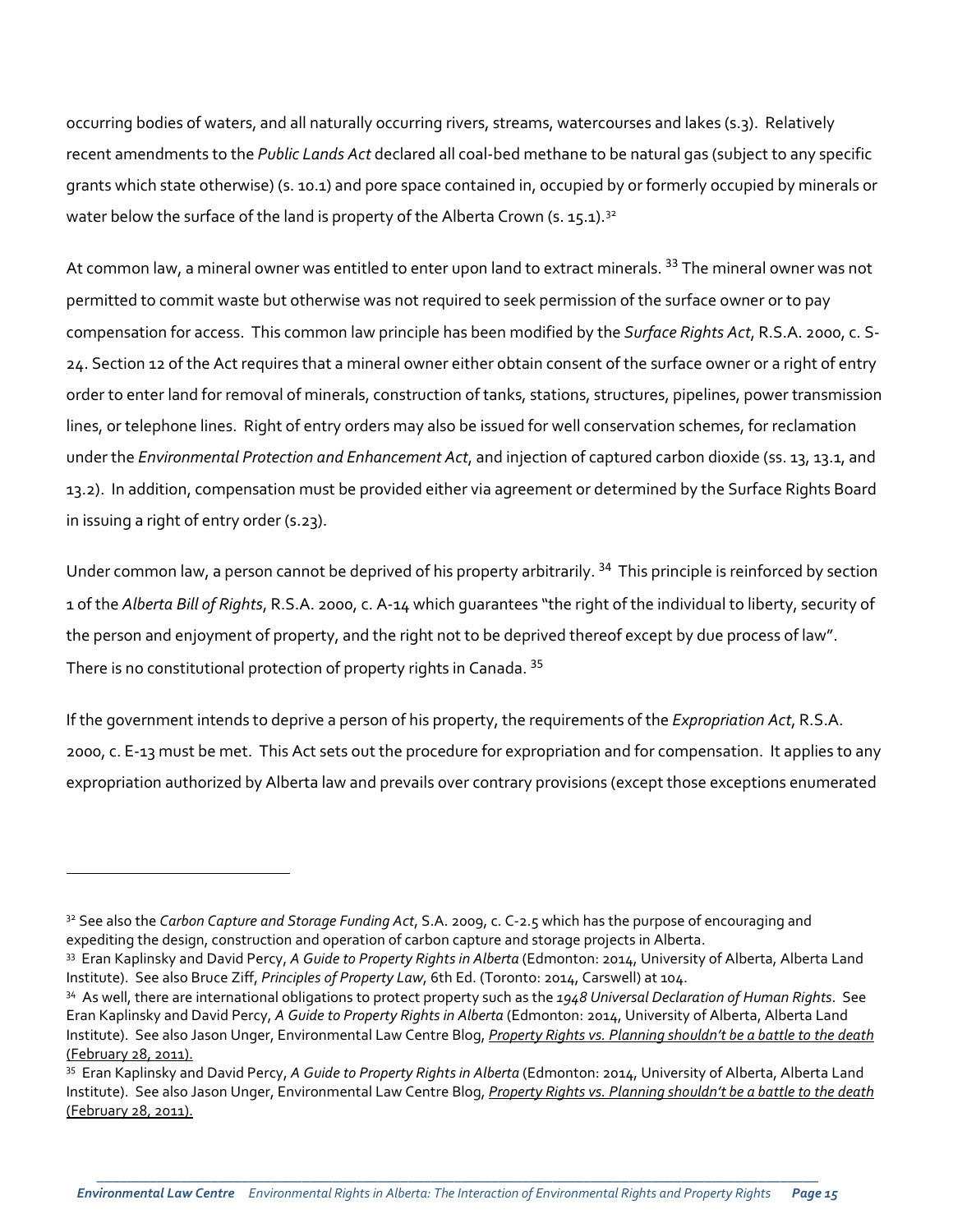occurring bodies of waters, and all naturally occurring rivers, streams, watercourses and lakes (s.3). Relatively recent amendments to the *Public Lands Act* declared all coal-bed methane to be natural gas (subject to any specific grants which state otherwise) (s. 10.1) and pore space contained in, occupied by or formerly occupied by minerals or water below the surface of the land is property of the Alberta Crown (s. 15.1).<sup>[32](#page-14-0)</sup>

At common law, a mineral owner was entitled to enter upon land to extract minerals. <sup>[33](#page-14-1)</sup> The mineral owner was not permitted to commit waste but otherwise was not required to seek permission of the surface owner or to pay compensation for access. This common law principle has been modified by the *Surface Rights Act*, R.S.A. 2000, c. S-24. Section 12 of the Act requires that a mineral owner either obtain consent of the surface owner or a right of entry order to enter land for removal of minerals, construction of tanks, stations, structures, pipelines, power transmission lines, or telephone lines. Right of entry orders may also be issued for well conservation schemes, for reclamation under the *Environmental Protection and Enhancement Act*, and injection of captured carbon dioxide (ss. 13, 13.1, and 13.2). In addition, compensation must be provided either via agreement or determined by the Surface Rights Board in issuing a right of entry order (s.23).

Under common law, a person cannot be deprived of his property arbitrarily.<sup>[34](#page-14-2)</sup> This principle is reinforced by section 1 of the *Alberta Bill of Rights*, R.S.A. 2000, c. A-14 which guarantees "the right of the individual to liberty, security of the person and enjoyment of property, and the right not to be deprived thereof except by due process of law". There is no constitutional protection of property rights in Canada. [35](#page-14-3)

If the government intends to deprive a person of his property, the requirements of the *Expropriation Act*, R.S.A. 2000, c. E-13 must be met. This Act sets out the procedure for expropriation and for compensation. It applies to any expropriation authorized by Alberta law and prevails over contrary provisions (except those exceptions enumerated

<span id="page-14-0"></span><sup>32</sup> See also the *Carbon Capture and Storage Funding Act*, S.A. 2009, c. C-2.5 which has the purpose of encouraging and expediting the design, construction and operation of carbon capture and storage projects in Alberta.

<span id="page-14-1"></span><sup>33</sup> Eran Kaplinsky and David Percy, *A Guide to Property Rights in Alberta* (Edmonton: 2014, University of Alberta, Alberta Land Institute). See also Bruce Ziff, *Principles of Property Law*, 6th Ed. (Toronto: 2014, Carswell) at 104.

<span id="page-14-2"></span><sup>34</sup> As well, there are international obligations to protect property such as the *1948 Universal Declaration of Human Rights*. See Eran Kaplinsky and David Percy, *A Guide to Property Rights in Alberta* (Edmonton: 2014, University of Alberta, Alberta Land Institute). See also Jason Unger, Environmental Law Centre Blog, *[Property Rights vs. Planning shouldn't be a battle to the death](http://elc.ab.ca/pub-archives/property-rights-vs-planning-shouldnt-be-a-battle-to-the-death/)* [\(February 28, 2011\).](http://elc.ab.ca/pub-archives/property-rights-vs-planning-shouldnt-be-a-battle-to-the-death/)

<span id="page-14-3"></span><sup>35</sup> Eran Kaplinsky and David Percy, *A Guide to Property Rights in Alberta* (Edmonton: 2014, University of Alberta, Alberta Land Institute). See also Jason Unger, Environmental Law Centre Blog, *[Property Rights vs. Planning shouldn't be a battle to the death](http://elc.ab.ca/pub-archives/property-rights-vs-planning-shouldnt-be-a-battle-to-the-death/)* [\(February 28, 2011\).](http://elc.ab.ca/pub-archives/property-rights-vs-planning-shouldnt-be-a-battle-to-the-death/)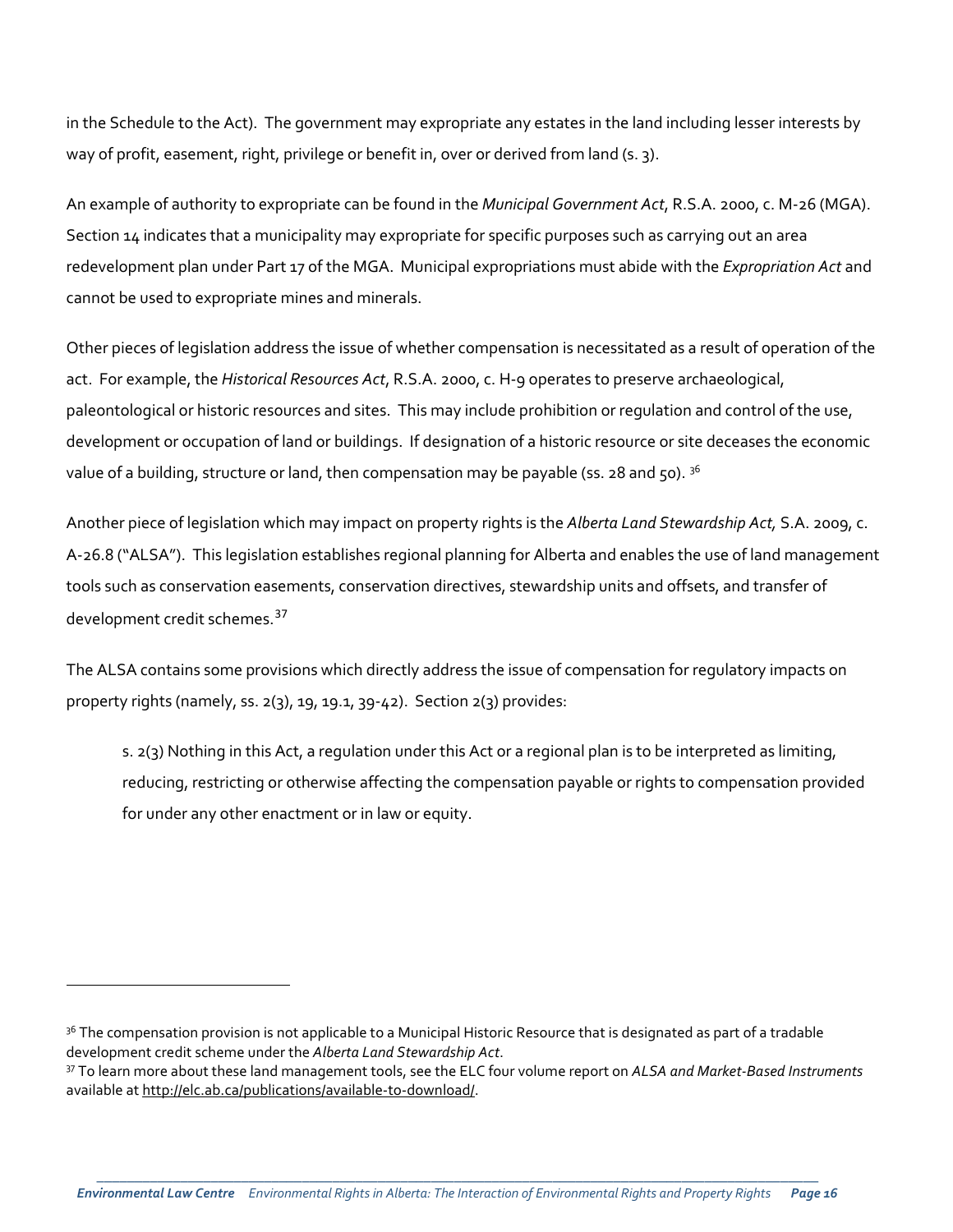in the Schedule to the Act). The government may expropriate any estates in the land including lesser interests by way of profit, easement, right, privilege or benefit in, over or derived from land (s. 3).

An example of authority to expropriate can be found in the *Municipal Government Act*, R.S.A. 2000, c. M-26 (MGA). Section 14 indicates that a municipality may expropriate for specific purposes such as carrying out an area redevelopment plan under Part 17 of the MGA. Municipal expropriations must abide with the *Expropriation Act* and cannot be used to expropriate mines and minerals.

Other pieces of legislation address the issue of whether compensation is necessitated as a result of operation of the act. For example, the *Historical Resources Act*, R.S.A. 2000, c. H-9 operates to preserve archaeological, paleontological or historic resources and sites. This may include prohibition or regulation and control of the use, development or occupation of land or buildings. If designation of a historic resource or site deceases the economic value of a building, structure or land, then compensation may be payable (ss. 28 and 50).  $3^6$ 

Another piece of legislation which may impact on property rights is the *Alberta Land Stewardship Act,* S.A. 2009, c. A-26.8 ("ALSA"). This legislation establishes regional planning for Alberta and enables the use of land management tools such as conservation easements, conservation directives, stewardship units and offsets, and transfer of development credit schemes.<sup>[37](#page-15-1)</sup>

The ALSA contains some provisions which directly address the issue of compensation for regulatory impacts on property rights (namely, ss. 2(3), 19, 19.1, 39-42). Section 2(3) provides:

s. 2(3) Nothing in this Act, a regulation under this Act or a regional plan is to be interpreted as limiting, reducing, restricting or otherwise affecting the compensation payable or rights to compensation provided for under any other enactment or in law or equity.

<span id="page-15-0"></span><sup>&</sup>lt;sup>36</sup> The compensation provision is not applicable to a Municipal Historic Resource that is designated as part of a tradable development credit scheme under the *Alberta Land Stewardship Act*.

<span id="page-15-1"></span><sup>37</sup> To learn more about these land management tools, see the ELC four volume report on *ALSA and Market-Based Instruments*  available a[t http://elc.ab.ca/publications/available-to-download/.](http://elc.ab.ca/publications/available-to-download/)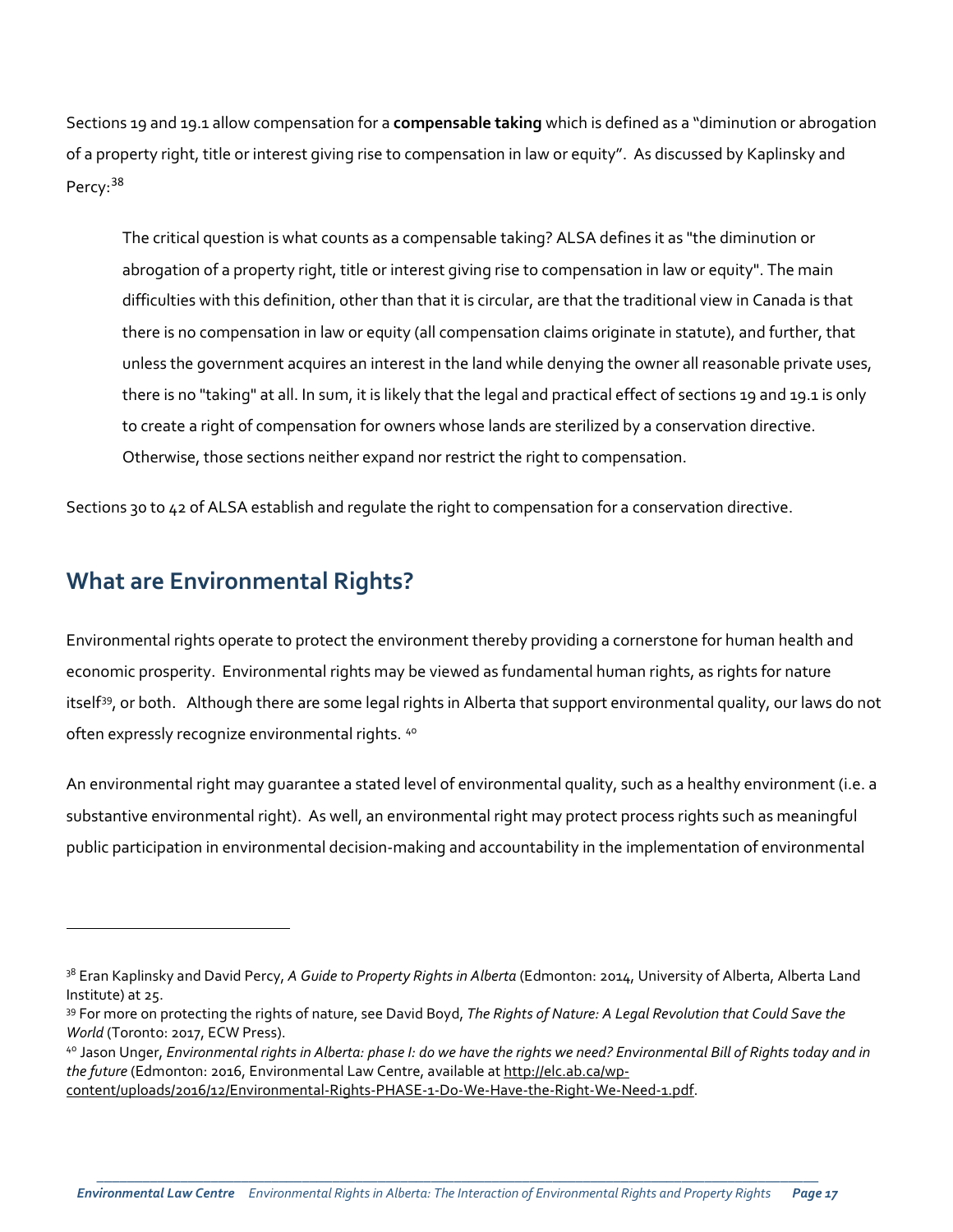Sections 19 and 19.1 allow compensation for a **compensable taking** which is defined as a "diminution or abrogation of a property right, title or interest giving rise to compensation in law or equity". As discussed by Kaplinsky and Percy: [38](#page-16-0)

The critical question is what counts as a compensable taking? ALSA defines it as "the diminution or abrogation of a property right, title or interest giving rise to compensation in law or equity". The main difficulties with this definition, other than that it is circular, are that the traditional view in Canada is that there is no compensation in law or equity (all compensation claims originate in statute), and further, that unless the government acquires an interest in the land while denying the owner all reasonable private uses, there is no "taking" at all. In sum, it is likely that the legal and practical effect of sections 19 and 19.1 is only to create a right of compensation for owners whose lands are sterilized by a conservation directive. Otherwise, those sections neither expand nor restrict the right to compensation.

Sections 30 to 42 of ALSA establish and regulate the right to compensation for a conservation directive.

## **What are Environmental Rights?**

l

Environmental rights operate to protect the environment thereby providing a cornerstone for human health and economic prosperity. Environmental rights may be viewed as fundamental human rights, as rights for nature itself<sup>[39](#page-16-1)</sup>, or both. Although there are some legal rights in Alberta that support environmental quality, our laws do not often expressly recognize environmental rights. [40](#page-16-2)

An environmental right may guarantee a stated level of environmental quality, such as a healthy environment (i.e. a substantive environmental right). As well, an environmental right may protect process rights such as meaningful public participation in environmental decision-making and accountability in the implementation of environmental

<span id="page-16-0"></span><sup>38</sup> Eran Kaplinsky and David Percy, *A Guide to Property Rights in Alberta* (Edmonton: 2014, University of Alberta, Alberta Land Institute) at 25.

<span id="page-16-1"></span><sup>39</sup> For more on protecting the rights of nature, see David Boyd, *The Rights of Nature: A Legal Revolution that Could Save the World* (Toronto: 2017, ECW Press).

<span id="page-16-2"></span><sup>40</sup> Jason Unger, *Environmental rights in Alberta: phase I: do we have the rights we need? Environmental Bill of Rights today and in the future* (Edmonton: 2016, Environmental Law Centre, available at [http://elc.ab.ca/wp](http://elc.ab.ca/wp-content/uploads/2016/12/Environmental-Rights-PHASE-1-Do-We-Have-the-Right-We-Need-1.pdf)[content/uploads/2016/12/Environmental-Rights-PHASE-1-Do-We-Have-the-Right-We-Need-1.pdf.](http://elc.ab.ca/wp-content/uploads/2016/12/Environmental-Rights-PHASE-1-Do-We-Have-the-Right-We-Need-1.pdf)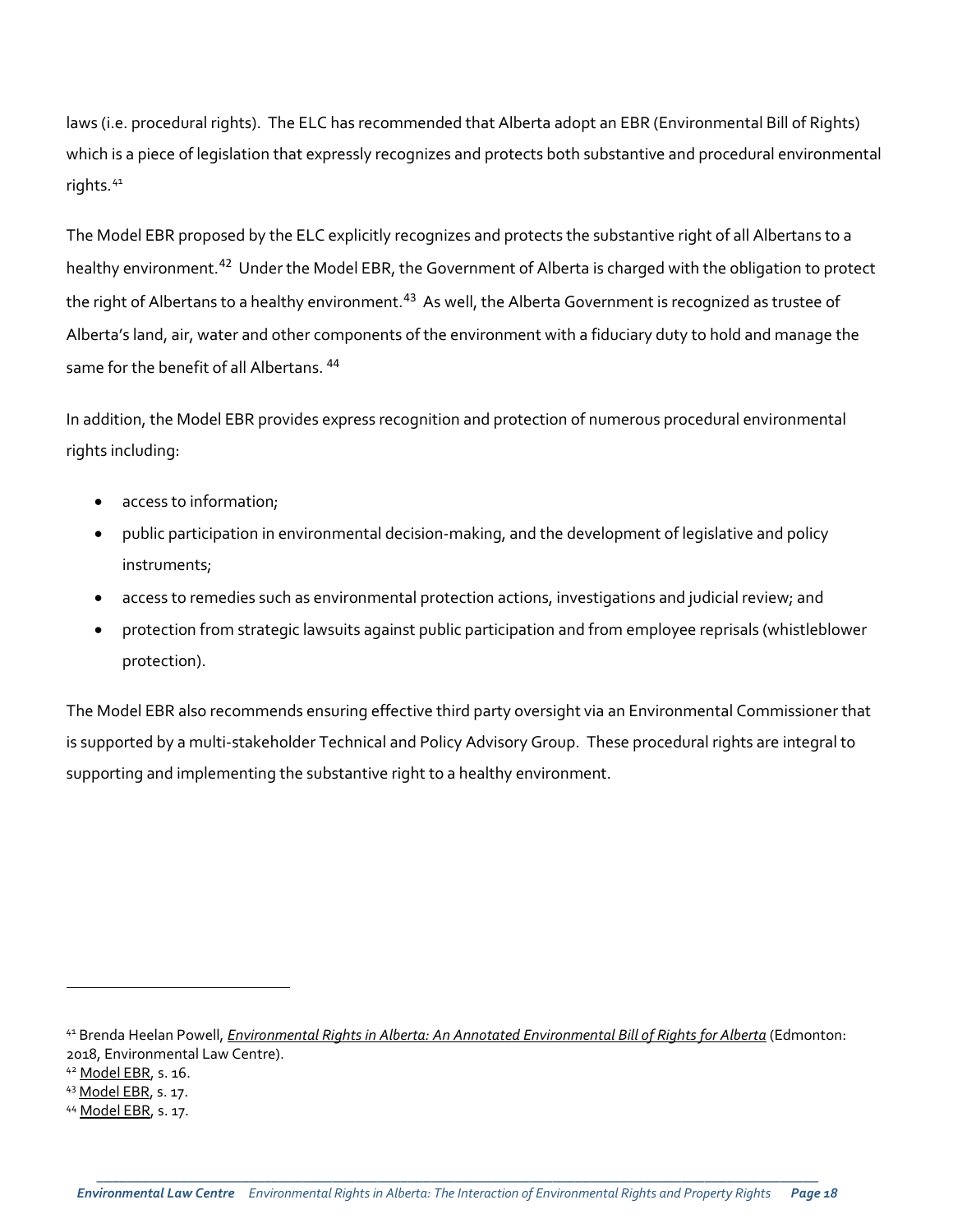laws (i.e. procedural rights). The ELC has recommended that Alberta adopt an EBR (Environmental Bill of Rights) which is a piece of legislation that expressly recognizes and protects both substantive and procedural environmental rights.<sup>[41](#page-17-0)</sup>

The Model EBR proposed by the ELC explicitly recognizes and protects the substantive right of all Albertans to a healthy environment.[42](#page-17-1) Under the Model EBR, the Government of Alberta is charged with the obligation to protect the right of Albertans to a healthy environment.<sup>[43](#page-17-2)</sup> As well, the Alberta Government is recognized as trustee of Alberta's land, air, water and other components of the environment with a fiduciary duty to hold and manage the same for the benefit of all Albertans.<sup>[44](#page-17-3)</sup>

In addition, the Model EBR provides express recognition and protection of numerous procedural environmental rights including:

- access to information;
- public participation in environmental decision-making, and the development of legislative and policy instruments;
- access to remedies such as environmental protection actions, investigations and judicial review; and
- protection from strategic lawsuits against public participation and from employee reprisals (whistleblower protection).

The Model EBR also recommends ensuring effective third party oversight via an Environmental Commissioner that is supported by a multi-stakeholder Technical and Policy Advisory Group. These procedural rights are integral to supporting and implementing the substantive right to a healthy environment.

<span id="page-17-0"></span><sup>41</sup> Brenda Heelan Powell, *[Environmental Rights in Alberta: An Annotated Environmental Bill of Rights for Alberta](http://elc.ab.ca/?smd_process_download=1&download_id=19904)* (Edmonton: 2018, Environmental Law Centre).

<span id="page-17-1"></span><sup>42</sup> [Model EBR,](http://elc.ab.ca/?smd_process_download=1&download_id=19904) s. 16.

<span id="page-17-2"></span><sup>43</sup> [Model EBR,](http://elc.ab.ca/?smd_process_download=1&download_id=19904) s. 17.

<span id="page-17-3"></span><sup>44</sup> [Model EBR,](http://elc.ab.ca/?smd_process_download=1&download_id=19904) s. 17.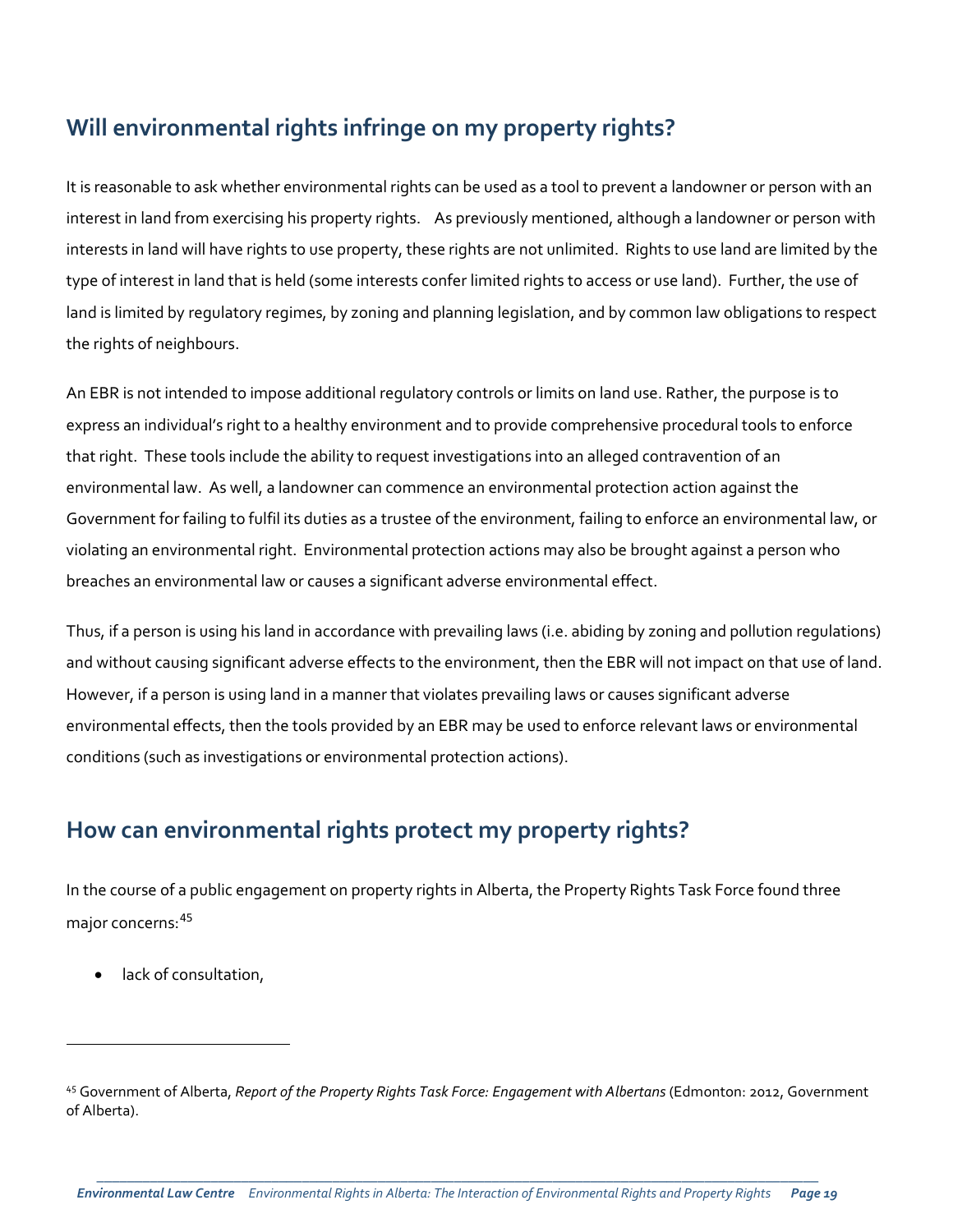## **Will environmental rights infringe on my property rights?**

It is reasonable to ask whether environmental rights can be used as a tool to prevent a landowner or person with an interest in land from exercising his property rights. As previously mentioned, although a landowner or person with interests in land will have rights to use property, these rights are not unlimited. Rights to use land are limited by the type of interest in land that is held (some interests confer limited rights to access or use land). Further, the use of land is limited by regulatory regimes, by zoning and planning legislation, and by common law obligations to respect the rights of neighbours.

An EBR is not intended to impose additional regulatory controls or limits on land use. Rather, the purpose is to express an individual's right to a healthy environment and to provide comprehensive procedural tools to enforce that right. These tools include the ability to request investigations into an alleged contravention of an environmental law. As well, a landowner can commence an environmental protection action against the Government for failing to fulfil its duties as a trustee of the environment, failing to enforce an environmental law, or violating an environmental right. Environmental protection actions may also be brought against a person who breaches an environmental law or causes a significant adverse environmental effect.

Thus, if a person is using his land in accordance with prevailing laws (i.e. abiding by zoning and pollution regulations) and without causing significant adverse effects to the environment, then the EBR will not impact on that use of land. However, if a person is using land in a manner that violates prevailing laws or causes significant adverse environmental effects, then the tools provided by an EBR may be used to enforce relevant laws or environmental conditions (such as investigations or environmental protection actions).

## **How can environmental rights protect my property rights?**

In the course of a public engagement on property rights in Alberta, the Property Rights Task Force found three major concerns: [45](#page-18-0)

lack of consultation,

<span id="page-18-0"></span><sup>45</sup> Government of Alberta, *Report of the Property Rights Task Force: Engagement with Albertans* (Edmonton: 2012, Government of Alberta).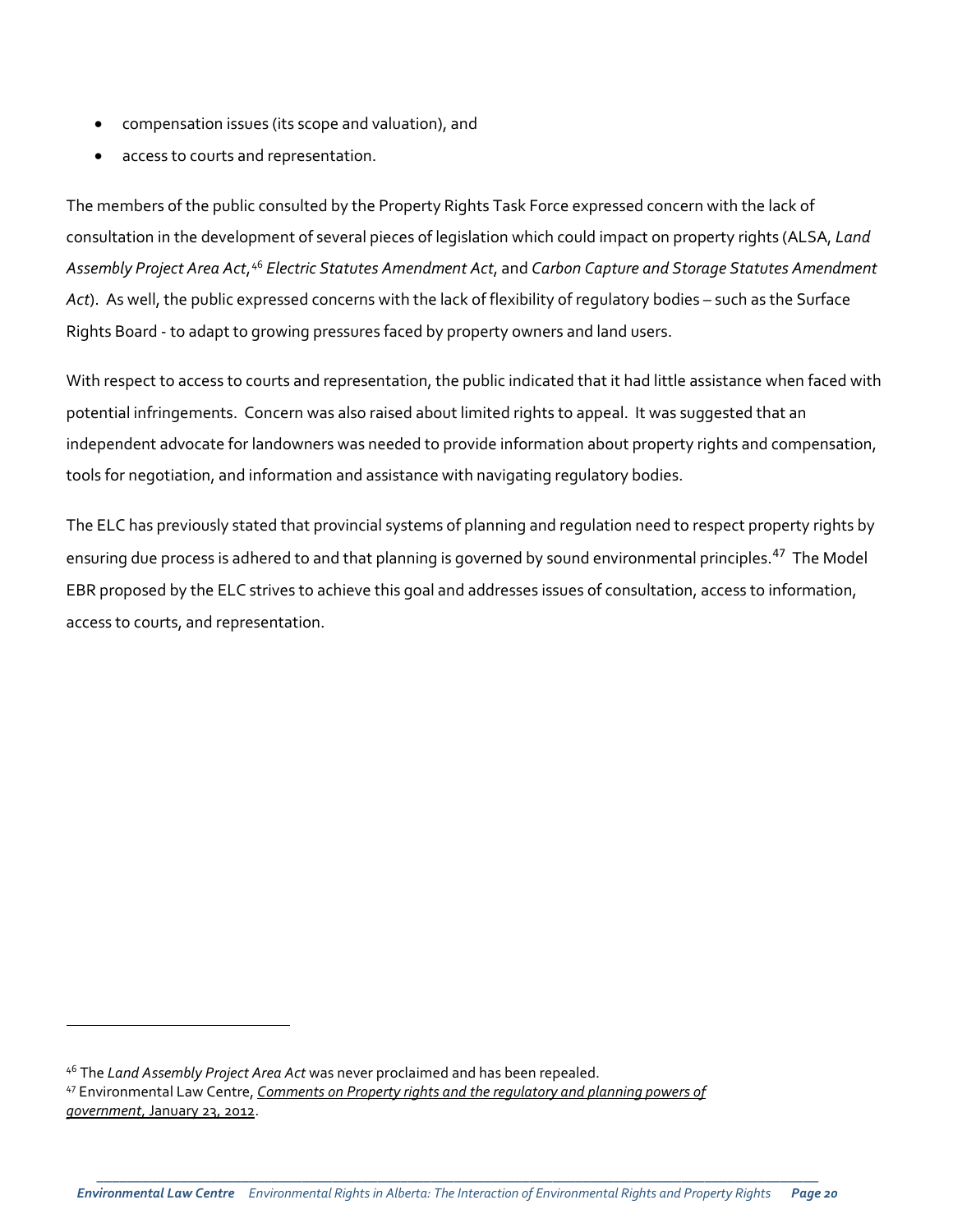- compensation issues (its scope and valuation), and
- access to courts and representation.

The members of the public consulted by the Property Rights Task Force expressed concern with the lack of consultation in the development of several pieces of legislation which could impact on property rights (ALSA, *Land Assembly Project Area Act*, [46](#page-19-0) *Electric Statutes Amendment Act*, and *Carbon Capture and Storage Statutes Amendment Act*). As well, the public expressed concerns with the lack of flexibility of regulatory bodies – such as the Surface Rights Board - to adapt to growing pressures faced by property owners and land users.

With respect to access to courts and representation, the public indicated that it had little assistance when faced with potential infringements. Concern was also raised about limited rights to appeal. It was suggested that an independent advocate for landowners was needed to provide information about property rights and compensation, tools for negotiation, and information and assistance with navigating regulatory bodies.

The ELC has previously stated that provincial systems of planning and regulation need to respect property rights by ensuring due process is adhered to and that planning is governed by sound environmental principles.<sup>[47](#page-19-1)</sup> The Model EBR proposed by the ELC strives to achieve this goal and addresses issues of consultation, access to information, access to courts, and representation.

<span id="page-19-1"></span><span id="page-19-0"></span><sup>46</sup> The *Land Assembly Project Area Act* was never proclaimed and has been repealed. <sup>47</sup> Environmental Law Centre, *[Comments on Property rights and the regulatory and planning powers of](http://elc.ab.ca/pub-archives/elc-comments-on-property-rights-and-the-regulatory-and-planning-powers-of-government/)  government*[, January 23, 2012.](http://elc.ab.ca/pub-archives/elc-comments-on-property-rights-and-the-regulatory-and-planning-powers-of-government/)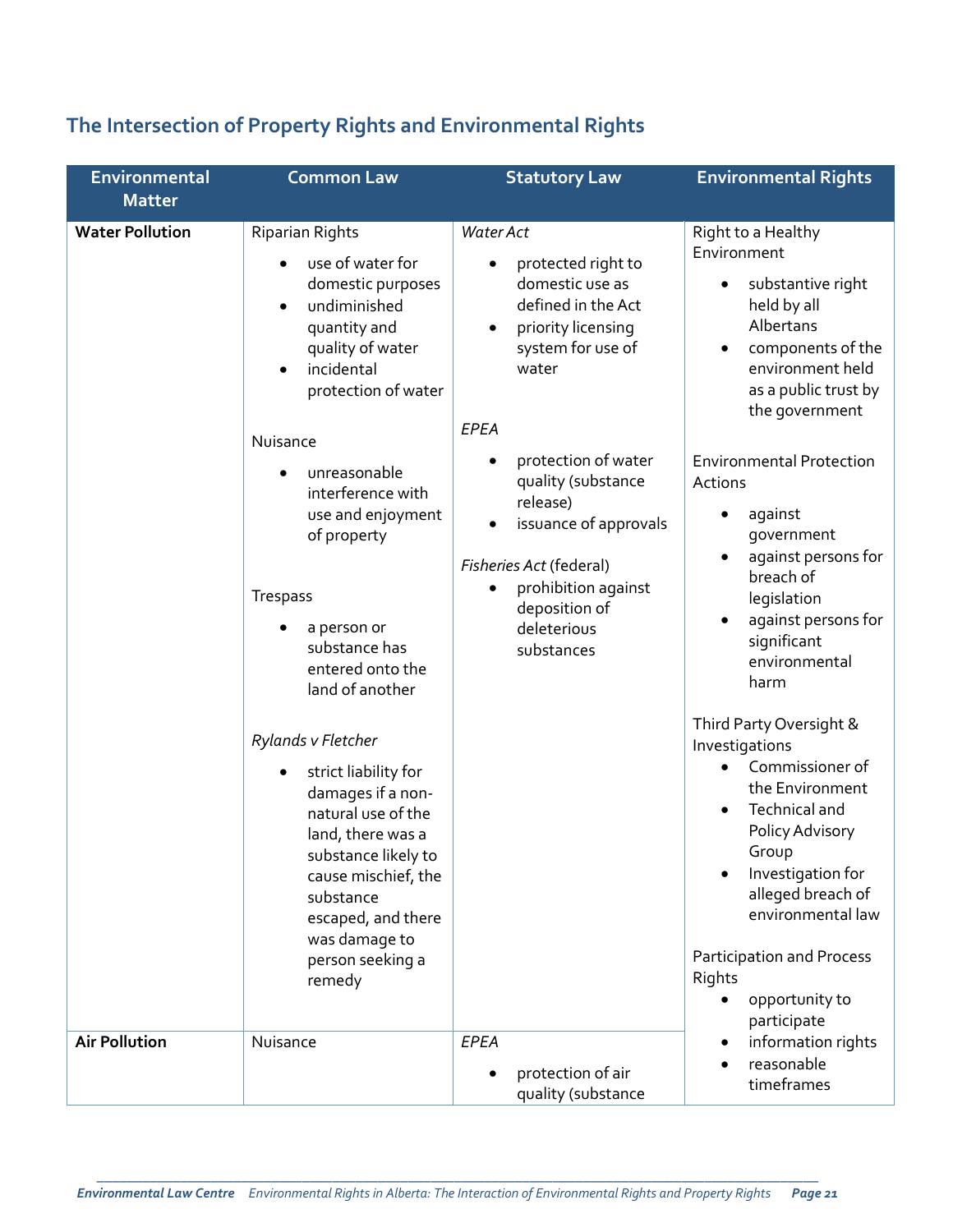# **The Intersection of Property Rights and Environmental Rights**

| Environmental          | <b>Common Law</b>                                                                                                                                                                                                                          | <b>Statutory Law</b>                                                                                                                                                                                                  | <b>Environmental Rights</b>                                                                                                                                                                                                                                                      |
|------------------------|--------------------------------------------------------------------------------------------------------------------------------------------------------------------------------------------------------------------------------------------|-----------------------------------------------------------------------------------------------------------------------------------------------------------------------------------------------------------------------|----------------------------------------------------------------------------------------------------------------------------------------------------------------------------------------------------------------------------------------------------------------------------------|
| <b>Matter</b>          |                                                                                                                                                                                                                                            |                                                                                                                                                                                                                       |                                                                                                                                                                                                                                                                                  |
| <b>Water Pollution</b> | <b>Riparian Rights</b><br>use of water for<br>domestic purposes<br>undiminished<br>$\bullet$<br>quantity and<br>quality of water<br>incidental<br>protection of water<br>Nuisance                                                          | Water Act<br>protected right to<br>domestic use as<br>defined in the Act<br>priority licensing<br>$\bullet$<br>system for use of<br>water<br>EPEA                                                                     | Right to a Healthy<br>Environment<br>substantive right<br>$\bullet$<br>held by all<br>Albertans<br>components of the<br>$\bullet$<br>environment held<br>as a public trust by<br>the government                                                                                  |
|                        | unreasonable<br>interference with<br>use and enjoyment<br>of property<br><b>Trespass</b><br>a person or<br>substance has<br>entered onto the<br>land of another                                                                            | protection of water<br>$\bullet$<br>quality (substance<br>release)<br>issuance of approvals<br>$\bullet$<br>Fisheries Act (federal)<br>prohibition against<br>$\bullet$<br>deposition of<br>deleterious<br>substances | <b>Environmental Protection</b><br>Actions<br>against<br>government<br>against persons for<br>$\bullet$<br>breach of<br>legislation<br>against persons for<br>significant<br>environmental<br>harm                                                                               |
|                        | Rylands v Fletcher<br>strict liability for<br>damages if a non-<br>natural use of the<br>land, there was a<br>substance likely to<br>cause mischief, the<br>substance<br>escaped, and there<br>was damage to<br>person seeking a<br>remedy |                                                                                                                                                                                                                       | Third Party Oversight &<br>Investigations<br>Commissioner of<br>the Environment<br>Technical and<br>$\bullet$<br>Policy Advisory<br>Group<br>Investigation for<br>alleged breach of<br>environmental law<br>Participation and Process<br>Rights<br>opportunity to<br>participate |
| <b>Air Pollution</b>   | Nuisance                                                                                                                                                                                                                                   | EPEA<br>protection of air<br>$\bullet$<br>quality (substance                                                                                                                                                          | information rights<br>reasonable<br>timeframes                                                                                                                                                                                                                                   |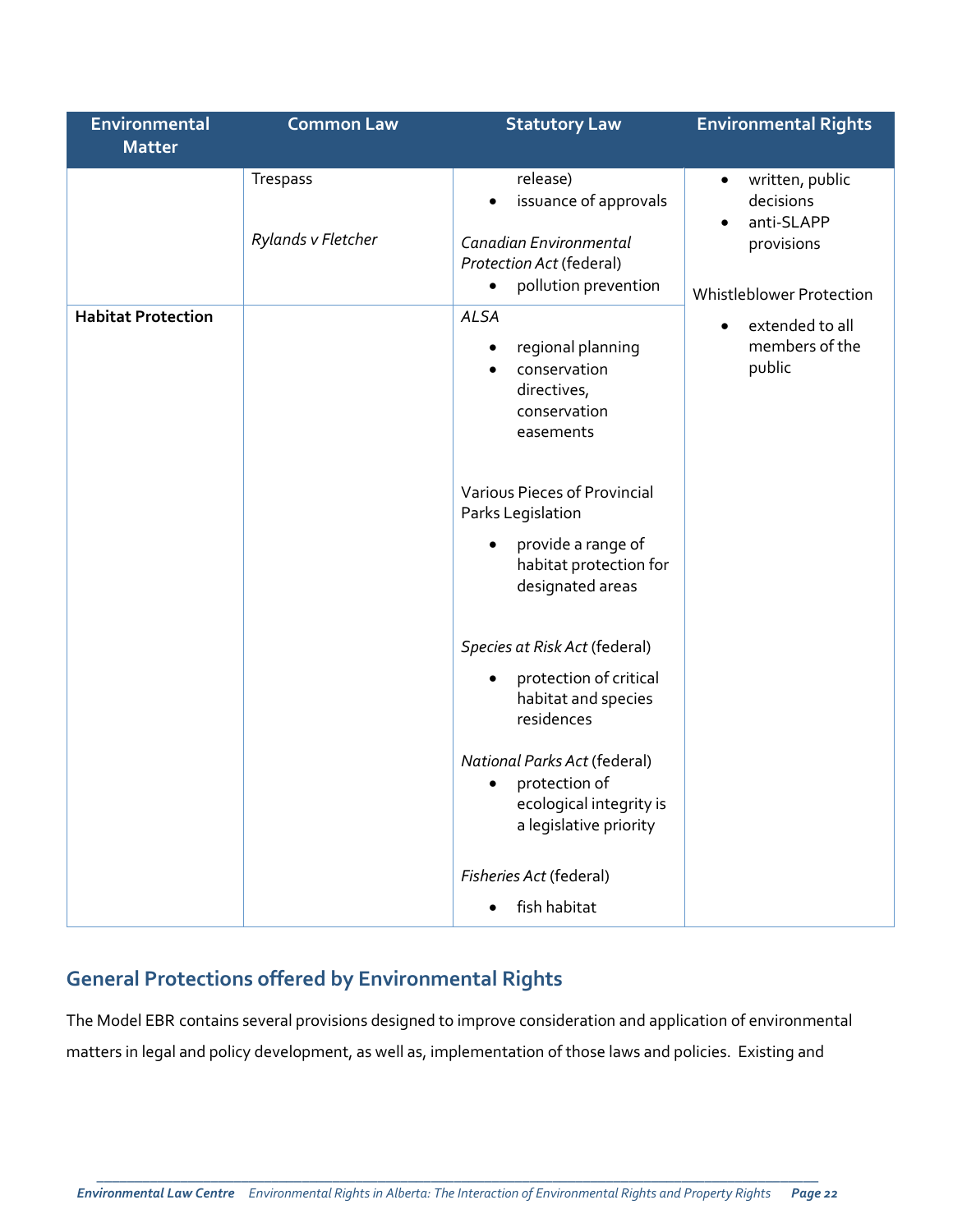| Environmental             | <b>Common Law</b>              | <b>Statutory Law</b>                                                                                                                                                                                                   | <b>Environmental Rights</b>                                                                                    |
|---------------------------|--------------------------------|------------------------------------------------------------------------------------------------------------------------------------------------------------------------------------------------------------------------|----------------------------------------------------------------------------------------------------------------|
| <b>Matter</b>             |                                |                                                                                                                                                                                                                        |                                                                                                                |
|                           | Trespass<br>Rylands v Fletcher | release)<br>issuance of approvals<br>$\bullet$<br>Canadian Environmental<br>Protection Act (federal)<br>pollution prevention<br>$\bullet$                                                                              | written, public<br>$\bullet$<br>decisions<br>anti-SLAPP<br>$\bullet$<br>provisions<br>Whistleblower Protection |
| <b>Habitat Protection</b> |                                | <b>ALSA</b><br>regional planning<br>$\bullet$<br>conservation<br>$\bullet$<br>directives,<br>conservation<br>easements                                                                                                 | extended to all<br>$\bullet$<br>members of the<br>public                                                       |
|                           |                                | Various Pieces of Provincial<br>Parks Legislation<br>provide a range of<br>$\bullet$<br>habitat protection for<br>designated areas                                                                                     |                                                                                                                |
|                           |                                | Species at Risk Act (federal)<br>protection of critical<br>$\bullet$<br>habitat and species<br>residences<br><b>National Parks Act (federal)</b><br>protection of<br>ecological integrity is<br>a legislative priority |                                                                                                                |
|                           |                                | Fisheries Act (federal)<br>fish habitat                                                                                                                                                                                |                                                                                                                |

# **General Protections offered by Environmental Rights**

The Model EBR contains several provisions designed to improve consideration and application of environmental matters in legal and policy development, as well as, implementation of those laws and policies. Existing and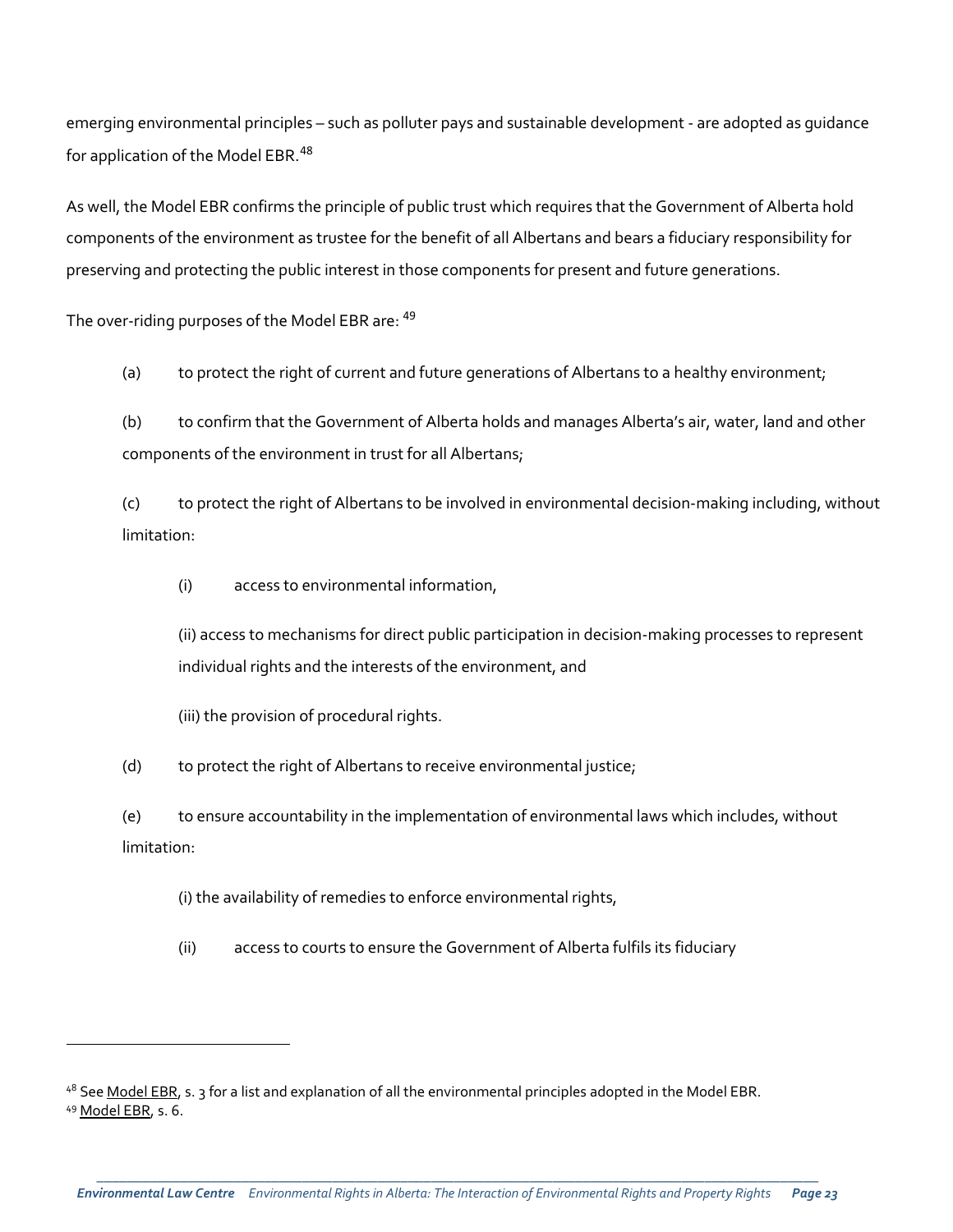emerging environmental principles – such as polluter pays and sustainable development - are adopted as guidance for application of the Model EBR.<sup>[48](#page-22-0)</sup>

As well, the Model EBR confirms the principle of public trust which requires that the Government of Alberta hold components of the environment as trustee for the benefit of all Albertans and bears a fiduciary responsibility for preserving and protecting the public interest in those components for present and future generations.

The over-riding purposes of the Model EBR are: <sup>[49](#page-22-1)</sup>

(a) to protect the right of current and future generations of Albertans to a healthy environment;

(b) to confirm that the Government of Alberta holds and manages Alberta's air, water, land and other components of the environment in trust for all Albertans;

(c) to protect the right of Albertans to be involved in environmental decision-making including, without limitation:

(i) access to environmental information,

(ii) access to mechanisms for direct public participation in decision-making processes to represent individual rights and the interests of the environment, and

(iii) the provision of procedural rights.

l

(d) to protect the right of Albertans to receive environmental justice;

(e) to ensure accountability in the implementation of environmental laws which includes, without limitation:

(i) the availability of remedies to enforce environmental rights,

(ii) access to courts to ensure the Government of Alberta fulfils its fiduciary

<span id="page-22-1"></span><span id="page-22-0"></span><sup>48</sup> Se[e Model EBR,](http://elc.ab.ca/?smd_process_download=1&download_id=19904) s. 3 for a list and explanation of all the environmental principles adopted in the Model EBR. <sup>49</sup> [Model EBR,](http://elc.ab.ca/?smd_process_download=1&download_id=19904) s. 6.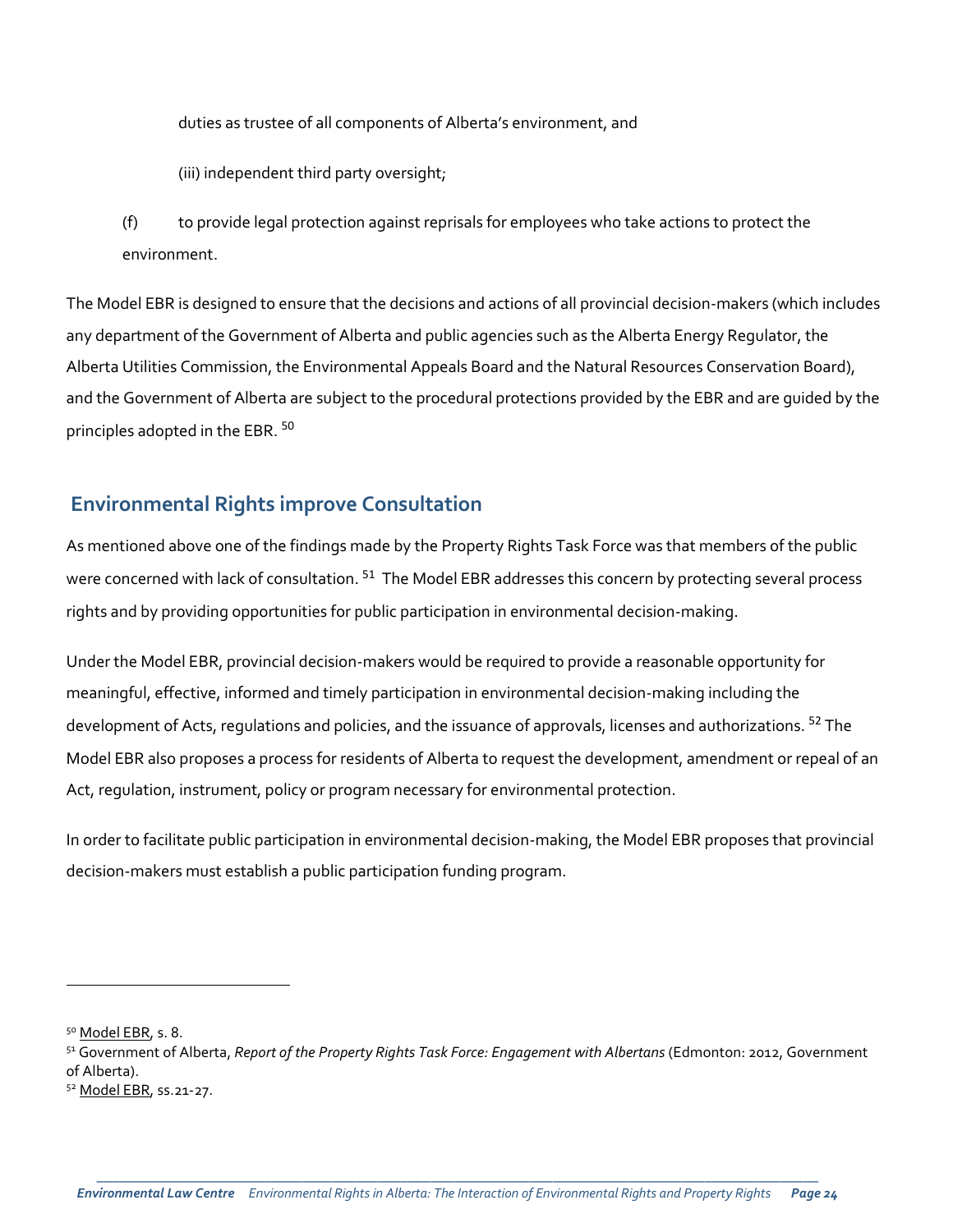duties as trustee of all components of Alberta's environment, and

(iii) independent third party oversight;

(f) to provide legal protection against reprisals for employees who take actions to protect the environment.

The Model EBR is designed to ensure that the decisions and actions of all provincial decision-makers (which includes any department of the Government of Alberta and public agencies such as the Alberta Energy Regulator, the Alberta Utilities Commission, the Environmental Appeals Board and the Natural Resources Conservation Board), and the Government of Alberta are subject to the procedural protections provided by the EBR and are guided by the principles adopted in the EBR. [50](#page-23-0)

#### **Environmental Rights improve Consultation**

As mentioned above one of the findings made by the Property Rights Task Force was that members of the public were concerned with lack of consultation. <sup>[51](#page-23-1)</sup> The Model EBR addresses this concern by protecting several process rights and by providing opportunities for public participation in environmental decision-making.

Under the Model EBR, provincial decision-makers would be required to provide a reasonable opportunity for meaningful, effective, informed and timely participation in environmental decision-making including the development of Acts, regulations and policies, and the issuance of approvals, licenses and authorizations. <sup>[52](#page-23-2)</sup> The Model EBR also proposes a process for residents of Alberta to request the development, amendment or repeal of an Act, regulation, instrument, policy or program necessary for environmental protection.

In order to facilitate public participation in environmental decision-making, the Model EBR proposes that provincial decision-makers must establish a public participation funding program.

<span id="page-23-0"></span><sup>50</sup> [Model EBR,](http://elc.ab.ca/?smd_process_download=1&download_id=19904) s. 8.

<span id="page-23-1"></span><sup>51</sup> Government of Alberta, *Report of the Property Rights Task Force: Engagement with Albertans* (Edmonton: 2012, Government of Alberta).

<span id="page-23-2"></span><sup>52</sup> [Model EBR,](http://elc.ab.ca/?smd_process_download=1&download_id=19904) ss.21-27.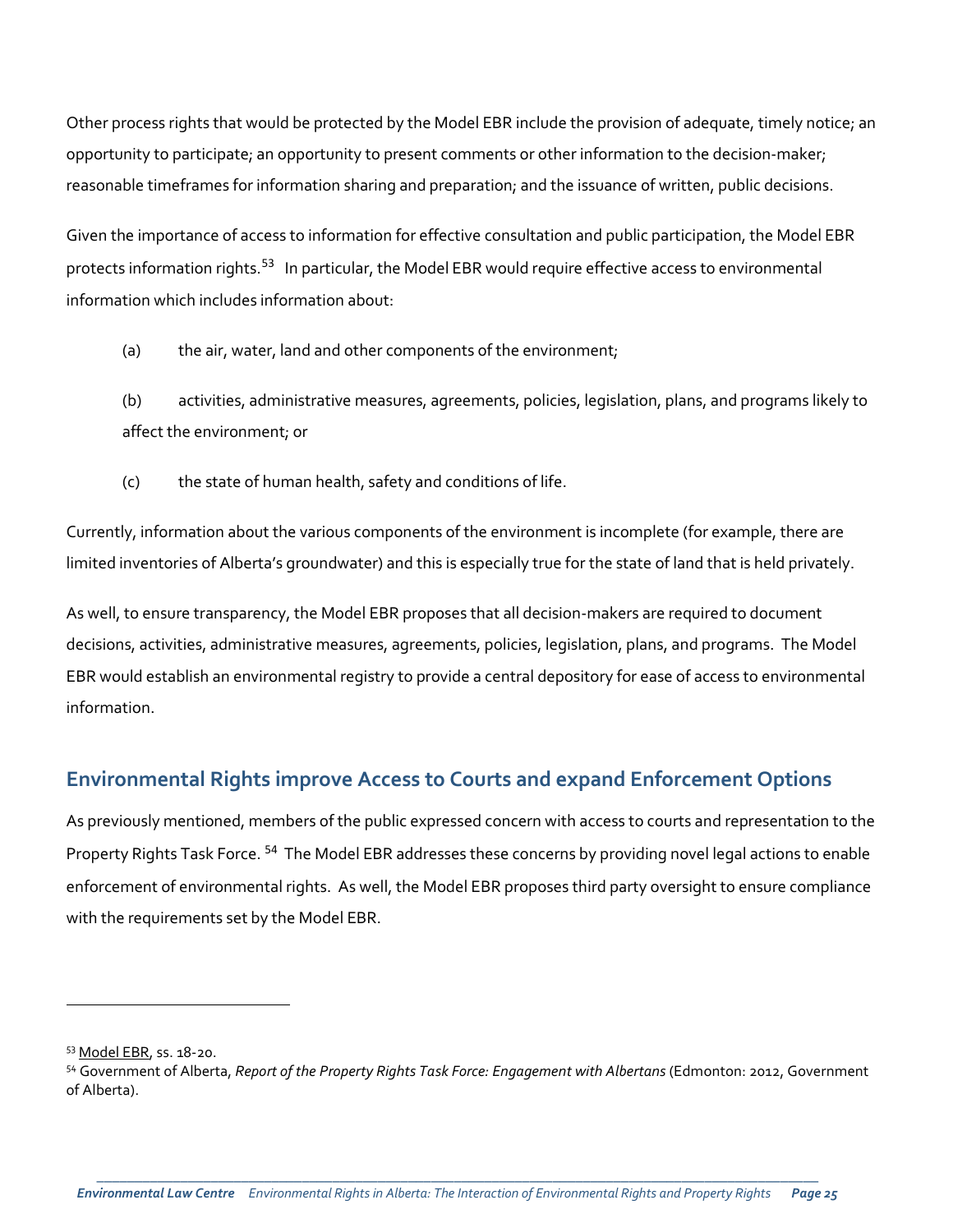Other process rights that would be protected by the Model EBR include the provision of adequate, timely notice; an opportunity to participate; an opportunity to present comments or other information to the decision-maker; reasonable timeframes for information sharing and preparation; and the issuance of written, public decisions.

Given the importance of access to information for effective consultation and public participation, the Model EBR protects information rights.<sup>[53](#page-24-0)</sup> In particular, the Model EBR would require effective access to environmental information which includes information about:

(a) the air, water, land and other components of the environment;

(b) activities, administrative measures, agreements, policies, legislation, plans, and programs likely to affect the environment; or

(c) the state of human health, safety and conditions of life.

Currently, information about the various components of the environment is incomplete (for example, there are limited inventories of Alberta's groundwater) and this is especially true for the state of land that is held privately.

As well, to ensure transparency, the Model EBR proposes that all decision-makers are required to document decisions, activities, administrative measures, agreements, policies, legislation, plans, and programs. The Model EBR would establish an environmental registry to provide a central depository for ease of access to environmental information.

## **Environmental Rights improve Access to Courts and expand Enforcement Options**

As previously mentioned, members of the public expressed concern with access to courts and representation to the Property Rights Task Force. <sup>[54](#page-24-1)</sup> The Model EBR addresses these concerns by providing novel legal actions to enable enforcement of environmental rights. As well, the Model EBR proposes third party oversight to ensure compliance with the requirements set by the Model EBR.

<span id="page-24-0"></span><sup>53</sup> [Model EBR,](http://elc.ab.ca/?smd_process_download=1&download_id=19904) ss. 18-20.

<span id="page-24-1"></span><sup>54</sup> Government of Alberta, *Report of the Property Rights Task Force: Engagement with Albertans* (Edmonton: 2012, Government of Alberta).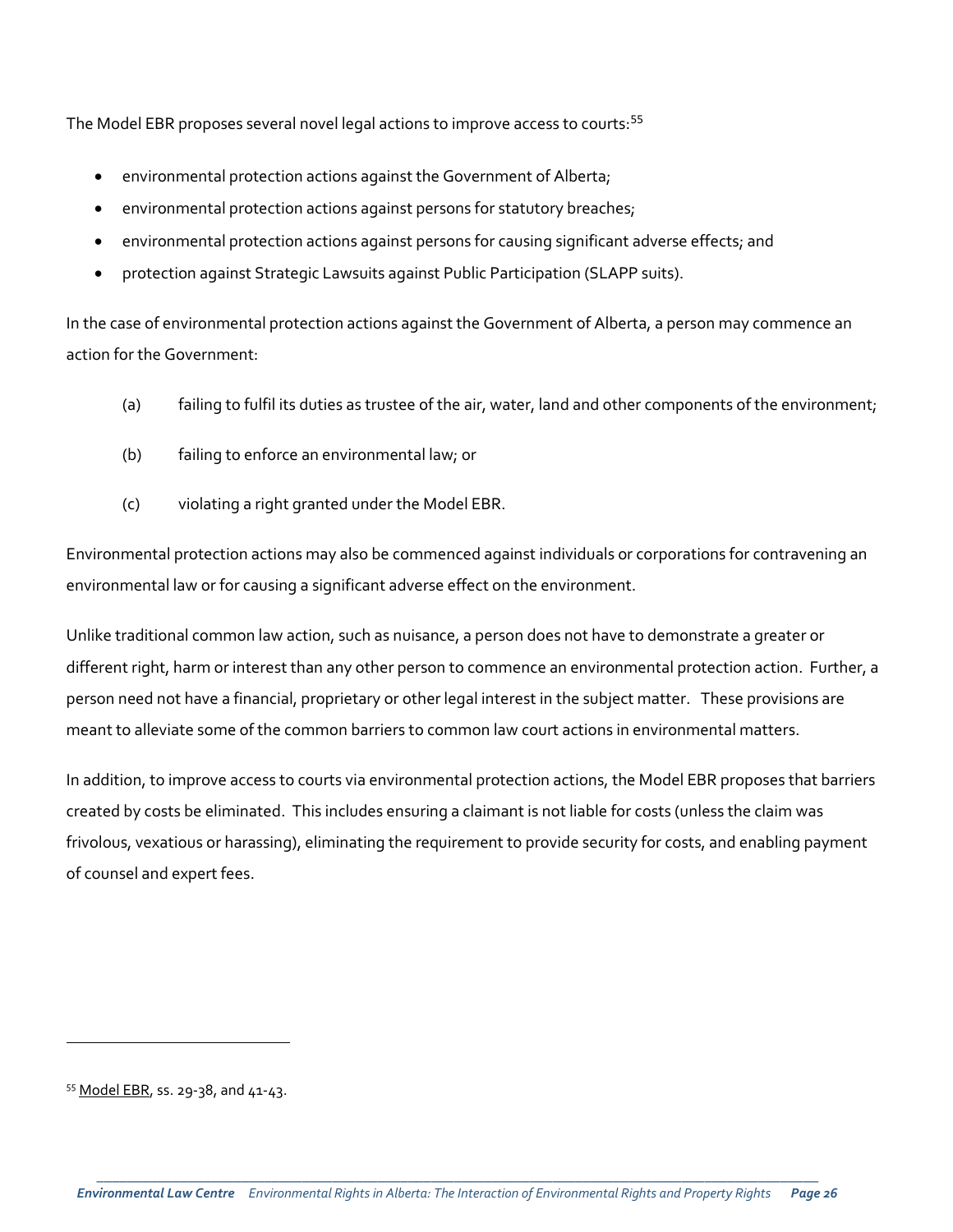The Model EBR proposes several novel legal actions to improve access to courts:<sup>[55](#page-25-0)</sup>

- environmental protection actions against the Government of Alberta;
- environmental protection actions against persons for statutory breaches;
- environmental protection actions against persons for causing significant adverse effects; and
- protection against Strategic Lawsuits against Public Participation (SLAPP suits).

In the case of environmental protection actions against the Government of Alberta, a person may commence an action for the Government:

- (a) failing to fulfil its duties as trustee of the air, water, land and other components of the environment;
- (b) failing to enforce an environmental law; or
- (c) violating a right granted under the Model EBR.

Environmental protection actions may also be commenced against individuals or corporations for contravening an environmental law or for causing a significant adverse effect on the environment.

Unlike traditional common law action, such as nuisance, a person does not have to demonstrate a greater or different right, harm or interest than any other person to commence an environmental protection action. Further, a person need not have a financial, proprietary or other legal interest in the subject matter. These provisions are meant to alleviate some of the common barriers to common law court actions in environmental matters.

In addition, to improve access to courts via environmental protection actions, the Model EBR proposes that barriers created by costs be eliminated. This includes ensuring a claimant is not liable for costs (unless the claim was frivolous, vexatious or harassing), eliminating the requirement to provide security for costs, and enabling payment of counsel and expert fees.

<span id="page-25-0"></span><sup>55</sup> [Model EBR,](http://elc.ab.ca/?smd_process_download=1&download_id=19904) ss. 29-38, and 41-43.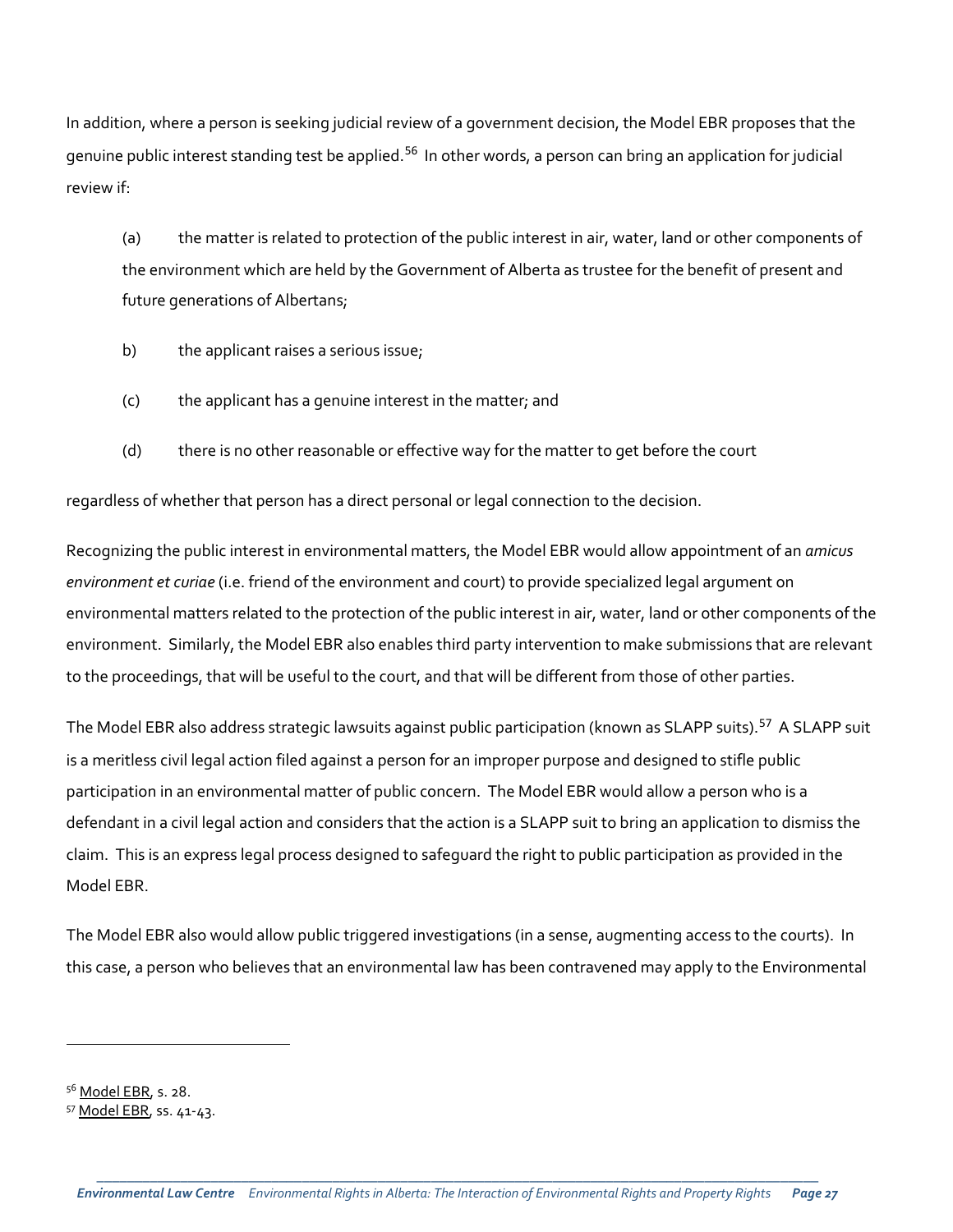In addition, where a person is seeking judicial review of a government decision, the Model EBR proposes that the genuine public interest standing test be applied.<sup>[56](#page-26-0)</sup> In other words, a person can bring an application for judicial review if:

(a) the matter is related to protection of the public interest in air, water, land or other components of the environment which are held by the Government of Alberta as trustee for the benefit of present and future generations of Albertans;

- b) the applicant raises a serious issue;
- (c) the applicant has a genuine interest in the matter; and
- (d) there is no other reasonable or effective way for the matter to get before the court

regardless of whether that person has a direct personal or legal connection to the decision.

Recognizing the public interest in environmental matters, the Model EBR would allow appointment of an *amicus environment et curiae* (i.e. friend of the environment and court) to provide specialized legal argument on environmental matters related to the protection of the public interest in air, water, land or other components of the environment. Similarly, the Model EBR also enables third party intervention to make submissions that are relevant to the proceedings, that will be useful to the court, and that will be different from those of other parties.

The Model EBR also address strategic lawsuits against public participation (known as SLAPP suits).<sup>[57](#page-26-1)</sup> A SLAPP suit is a meritless civil legal action filed against a person for an improper purpose and designed to stifle public participation in an environmental matter of public concern. The Model EBR would allow a person who is a defendant in a civil legal action and considers that the action is a SLAPP suit to bring an application to dismiss the claim. This is an express legal process designed to safeguard the right to public participation as provided in the Model EBR.

The Model EBR also would allow public triggered investigations (in a sense, augmenting access to the courts). In this case, a person who believes that an environmental law has been contravened may apply to the Environmental

<span id="page-26-0"></span><sup>56</sup> [Model EBR,](http://elc.ab.ca/?smd_process_download=1&download_id=19904) s. 28.

<span id="page-26-1"></span><sup>57</sup> [Model EBR,](http://elc.ab.ca/?smd_process_download=1&download_id=19904) ss. 41-43.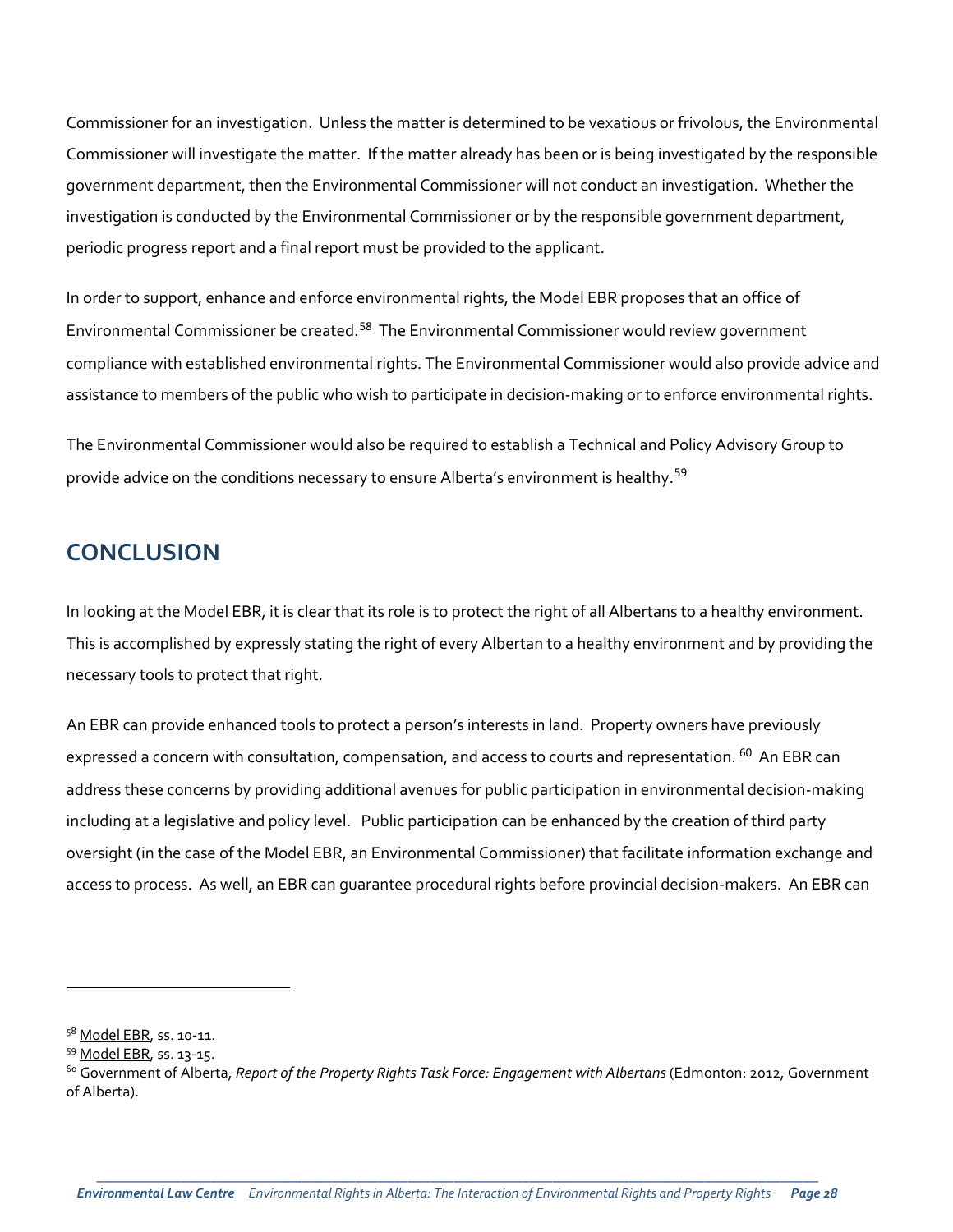Commissioner for an investigation. Unless the matter is determined to be vexatious or frivolous, the Environmental Commissioner will investigate the matter. If the matter already has been or is being investigated by the responsible government department, then the Environmental Commissioner will not conduct an investigation. Whether the investigation is conducted by the Environmental Commissioner or by the responsible government department, periodic progress report and a final report must be provided to the applicant.

In order to support, enhance and enforce environmental rights, the Model EBR proposes that an office of Environmental Commissioner be created.<sup>[58](#page-27-0)</sup> The Environmental Commissioner would review government compliance with established environmental rights. The Environmental Commissioner would also provide advice and assistance to members of the public who wish to participate in decision-making or to enforce environmental rights.

The Environmental Commissioner would also be required to establish a Technical and Policy Advisory Group to provide advice on the conditions necessary to ensure Alberta's environment is healthy.<sup>[59](#page-27-1)</sup>

## **CONCLUSION**

In looking at the Model EBR, it is clear that its role is to protect the right of all Albertans to a healthy environment. This is accomplished by expressly stating the right of every Albertan to a healthy environment and by providing the necessary tools to protect that right.

An EBR can provide enhanced tools to protect a person's interests in land. Property owners have previously expressed a concern with consultation, compensation, and access to courts and representation. <sup>[60](#page-27-2)</sup> An EBR can address these concerns by providing additional avenues for public participation in environmental decision-making including at a legislative and policy level. Public participation can be enhanced by the creation of third party oversight (in the case of the Model EBR, an Environmental Commissioner) that facilitate information exchange and access to process. As well, an EBR can guarantee procedural rights before provincial decision-makers. An EBR can

<span id="page-27-0"></span><sup>&</sup>lt;sup>58</sup> [Model EBR,](http://elc.ab.ca/?smd_process_download=1&download_id=19904) ss. 10-11.

<span id="page-27-1"></span><sup>59</sup> [Model EBR,](http://elc.ab.ca/?smd_process_download=1&download_id=19904) ss. 13-15.

<span id="page-27-2"></span><sup>60</sup> Government of Alberta, *Report of the Property Rights Task Force: Engagement with Albertans* (Edmonton: 2012, Government of Alberta).